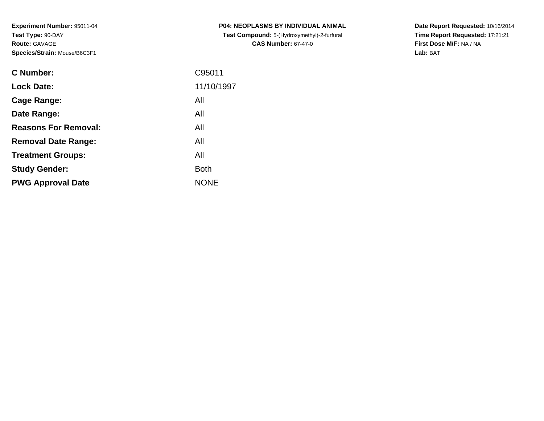**Experiment Number:** 95011-04**Test Type:** 90-DAY**Route:** GAVAGE**Species/Strain:** Mouse/B6C3F1

| <b>C Number:</b>            | C95011      |
|-----------------------------|-------------|
| <b>Lock Date:</b>           | 11/10/1997  |
| <b>Cage Range:</b>          | All         |
| Date Range:                 | All         |
| <b>Reasons For Removal:</b> | All         |
| <b>Removal Date Range:</b>  | All         |
| <b>Treatment Groups:</b>    | All         |
| <b>Study Gender:</b>        | <b>Both</b> |
| <b>PWG Approval Date</b>    | <b>NONE</b> |
|                             |             |

**P04: NEOPLASMS BY INDIVIDUAL ANIMAL Test Compound:** 5-(Hydroxymethyl)-2-furfural **CAS Number:** 67-47-0

**Date Report Requested:** 10/16/2014 **Time Report Requested:** 17:21:21**First Dose M/F:** NA / NA**Lab:** BAT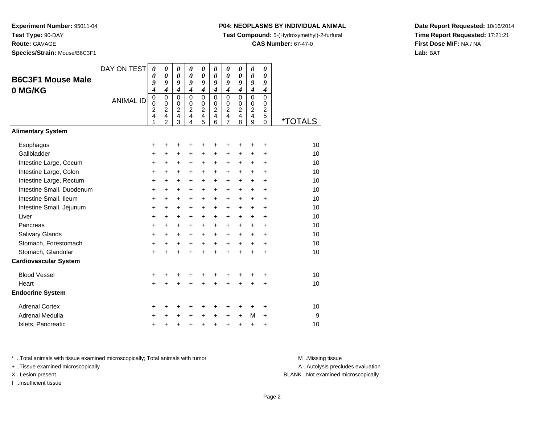**Route:** GAVAGE

**Species/Strain:** Mouse/B6C3F1

## **P04: NEOPLASMS BY INDIVIDUAL ANIMAL**

**Test Compound:** 5-(Hydroxymethyl)-2-furfural

**CAS Number:** 67-47-0

**Date Report Requested:** 10/16/2014**Time Report Requested:** 17:21:21**First Dose M/F:** NA / NA**Lab:** BAT

|                              | DAY ON TEST      | 0                     | $\boldsymbol{\theta}$           | $\boldsymbol{\theta}$   | $\boldsymbol{\theta}$         | 0                       | 0                                         | 0                     | 0                     | $\boldsymbol{\theta}$   | $\boldsymbol{\theta}$ |                       |
|------------------------------|------------------|-----------------------|---------------------------------|-------------------------|-------------------------------|-------------------------|-------------------------------------------|-----------------------|-----------------------|-------------------------|-----------------------|-----------------------|
| <b>B6C3F1 Mouse Male</b>     |                  | 0                     | $\boldsymbol{\theta}$           | $\boldsymbol{\theta}$   | $\boldsymbol{\theta}$         | $\boldsymbol{\theta}$   | $\boldsymbol{\theta}$<br>$\boldsymbol{g}$ | $\boldsymbol{\theta}$ | $\boldsymbol{\theta}$ | $\pmb{\theta}$          | $\boldsymbol{\theta}$ |                       |
| 0 MG/KG                      |                  | 9<br>4                | 9<br>$\boldsymbol{4}$           | 9<br>$\boldsymbol{4}$   | 9<br>$\boldsymbol{4}$         | 9<br>$\boldsymbol{4}$   | $\boldsymbol{4}$                          | 9<br>$\boldsymbol{4}$ | 9<br>$\overline{4}$   | 9<br>$\boldsymbol{4}$   | 9<br>4                |                       |
|                              | <b>ANIMAL ID</b> | 0                     | $\mathbf 0$                     | $\mathbf 0$             | $\Omega$                      | $\mathbf 0$             | $\Omega$                                  | $\mathbf 0$           | $\mathbf 0$           | $\mathbf 0$             | $\Omega$              |                       |
|                              |                  | 0<br>$\boldsymbol{2}$ | $\mathbf 0$<br>$\boldsymbol{2}$ | 0<br>$\boldsymbol{2}$   | $\mathbf 0$<br>$\overline{c}$ | 0<br>$\boldsymbol{2}$   | $\Omega$<br>$\overline{c}$                | 0<br>$\overline{c}$   | 0<br>$\overline{c}$   | 0<br>$\overline{c}$     | 0<br>$\overline{c}$   |                       |
|                              |                  | 4                     | $\overline{4}$                  | $\overline{\mathbf{4}}$ | 4                             | $\overline{\mathbf{4}}$ | 4                                         | $\overline{4}$        | $\overline{4}$        | $\overline{\mathbf{4}}$ | 5                     |                       |
|                              |                  | 1                     | $\overline{2}$                  | 3                       | $\overline{4}$                | 5                       | 6                                         | $\overline{7}$        | 8                     | 9                       | 0                     | <i><b>*TOTALS</b></i> |
| <b>Alimentary System</b>     |                  |                       |                                 |                         |                               |                         |                                           |                       |                       |                         |                       |                       |
| Esophagus                    |                  | +                     | +                               | ٠                       |                               | ٠                       | +                                         | +                     |                       | +                       | +                     | 10                    |
| Gallbladder                  |                  | +                     | +                               | $\ddot{}$               | $\ddot{}$                     | +                       | +                                         | +                     | +                     | +                       | +                     | 10                    |
| Intestine Large, Cecum       |                  | +                     | +                               | $\ddot{}$               | +                             | $\ddot{}$               | $\ddot{}$                                 | $\ddot{}$             | +                     | $\pm$                   | $\ddot{}$             | 10                    |
| Intestine Large, Colon       |                  | $\ddot{}$             | $\ddot{}$                       | $\ddot{}$               | $\ddot{}$                     | $\ddot{}$               | $\ddot{}$                                 | $\ddot{}$             | $\ddot{}$             | $\ddot{}$               | $\ddot{}$             | 10                    |
| Intestine Large, Rectum      |                  | $\ddot{}$             | $\ddot{}$                       | $\ddot{}$               | $\ddot{}$                     | $\ddot{}$               | $\ddot{}$                                 | $\ddot{}$             | $\ddot{}$             | +                       | $\ddot{}$             | 10                    |
| Intestine Small, Duodenum    |                  | +                     | $\ddot{}$                       | +                       | $\ddot{}$                     | +                       | +                                         | +                     | +                     | +                       | +                     | 10                    |
| Intestine Small, Ileum       |                  | +                     | $\ddot{}$                       | $\ddot{}$               | $\ddot{}$                     | $\ddot{}$               | $\ddot{}$                                 | $\ddot{}$             | $\ddot{}$             | $\ddot{}$               | $\ddot{}$             | 10                    |
| Intestine Small, Jejunum     |                  | $\ddot{}$             | $\ddot{}$                       | $\ddot{}$               | $\ddot{}$                     | $+$                     | $\ddot{}$                                 | $\ddot{}$             | $\ddot{}$             | $\ddot{}$               | $\ddot{}$             | 10                    |
| Liver                        |                  | $\ddot{}$             | +                               | $\ddot{}$               | $\ddot{}$                     | $\ddot{}$               | +                                         | $\ddot{}$             | +                     | +                       | $\ddot{}$             | 10                    |
| Pancreas                     |                  | $\ddot{}$             | $\ddot{}$                       | $\ddot{}$               | $\ddot{}$                     | $\ddot{}$               | $\ddot{}$                                 | $\ddot{}$             | $\ddot{}$             | $\ddot{}$               | $\ddot{}$             | 10                    |
| Salivary Glands              |                  | +                     | $\ddot{}$                       | $\ddot{}$               | $\ddot{}$                     | $\ddot{}$               | $\ddot{}$                                 | $\ddot{}$             | $\ddot{}$             | $\ddot{}$               | $\ddot{}$             | 10                    |
| Stomach, Forestomach         |                  | $\ddot{}$             | $\ddot{}$                       | $\ddot{}$               | $\ddot{}$                     | $\ddot{}$               | $\ddot{}$                                 | $\ddot{}$             | $\ddot{}$             | $\ddot{}$               | $\ddot{}$             | 10                    |
| Stomach, Glandular           |                  | $\ddot{}$             | +                               | $\ddot{}$               | +                             | $\ddot{}$               | $\ddot{}$                                 | $\ddot{}$             | $\ddot{}$             | $\ddot{}$               | +                     | 10                    |
| <b>Cardiovascular System</b> |                  |                       |                                 |                         |                               |                         |                                           |                       |                       |                         |                       |                       |
| <b>Blood Vessel</b>          |                  | +                     |                                 |                         |                               |                         |                                           | +                     |                       |                         | +                     | 10                    |
| Heart                        |                  | +                     |                                 |                         |                               | Ŧ.                      | +                                         | +                     | $\ddot{}$             | +                       | +                     | 10                    |
| <b>Endocrine System</b>      |                  |                       |                                 |                         |                               |                         |                                           |                       |                       |                         |                       |                       |
| <b>Adrenal Cortex</b>        |                  | +                     | +                               | +                       | +                             | +                       | +                                         | +                     | ٠                     | ٠                       | +                     | 10                    |
| <b>Adrenal Medulla</b>       |                  | +                     | +                               |                         | +                             | $\ddot{}$               | $\ddot{}$                                 | $\ddot{}$             | $\ddot{}$             | М                       | $\ddot{}$             | 9                     |
| Islets, Pancreatic           |                  | +                     | +                               | +                       | +                             | $\ddot{}$               | $\ddot{}$                                 | $\ddot{}$             | $\ddot{}$             | +                       | +                     | 10                    |

\* ..Total animals with tissue examined microscopically; Total animals with tumor **M** . Missing tissue M ..Missing tissue

+ ..Tissue examined microscopically

I ..Insufficient tissue

A ..Autolysis precludes evaluation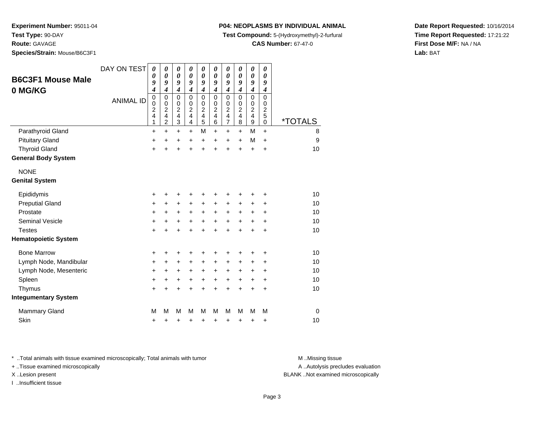**Test Type:** 90-DAY

**Route:** GAVAGE

**Species/Strain:** Mouse/B6C3F1

## **P04: NEOPLASMS BY INDIVIDUAL ANIMAL**

**Test Compound:** 5-(Hydroxymethyl)-2-furfural

**CAS Number:** 67-47-0

**Date Report Requested:** 10/16/2014**Time Report Requested:** 17:21:22**First Dose M/F:** NA / NA**Lab:** BAT

| <b>B6C3F1 Mouse Male</b><br>0 MG/KG | DAY ON TEST<br><b>ANIMAL ID</b> | $\boldsymbol{\theta}$<br>$\boldsymbol{\theta}$<br>9<br>4<br>$\mathbf 0$<br>$\mathbf 0$<br>$\overline{c}$<br>$\overline{\mathcal{A}}$<br>1 | 0<br>0<br>9<br>$\boldsymbol{4}$<br>$\mathbf 0$<br>$\mathbf 0$<br>$\overline{c}$<br>$\overline{\mathbf{4}}$<br>$\overline{2}$ | 0<br>$\boldsymbol{\theta}$<br>9<br>4<br>0<br>0<br>$\overline{c}$<br>4<br>3 | 0<br>0<br>9<br>$\boldsymbol{4}$<br>$\mathbf 0$<br>$\mathbf 0$<br>$\overline{2}$<br>$\overline{\mathbf{4}}$<br>$\overline{\mathbf{4}}$ | $\boldsymbol{\theta}$<br>0<br>9<br>$\boldsymbol{4}$<br>$\mathbf 0$<br>$\mathbf 0$<br>$\overline{c}$<br>$\overline{\mathbf{4}}$<br>5 | 0<br>$\theta$<br>9<br>$\boldsymbol{4}$<br>$\Omega$<br>$\mathbf 0$<br>$\overline{c}$<br>$\overline{\mathbf{4}}$<br>6 | $\boldsymbol{\theta}$<br>$\boldsymbol{\theta}$<br>9<br>$\boldsymbol{4}$<br>$\mathbf 0$<br>$\mathbf 0$<br>$\overline{c}$<br>$\overline{\mathbf{4}}$<br>$\overline{7}$ | 0<br>0<br>9<br>$\boldsymbol{4}$<br>$\mathbf 0$<br>$\mathbf 0$<br>$\boldsymbol{2}$<br>$\overline{\mathbf{4}}$<br>8 | 0<br>0<br>9<br>4<br>0<br>0<br>$\frac{2}{4}$<br>9 | 0<br>0<br>9<br>$\boldsymbol{4}$<br>0<br>0<br>$\overline{c}$<br>5<br>0 | <i><b>*TOTALS</b></i> |
|-------------------------------------|---------------------------------|-------------------------------------------------------------------------------------------------------------------------------------------|------------------------------------------------------------------------------------------------------------------------------|----------------------------------------------------------------------------|---------------------------------------------------------------------------------------------------------------------------------------|-------------------------------------------------------------------------------------------------------------------------------------|---------------------------------------------------------------------------------------------------------------------|----------------------------------------------------------------------------------------------------------------------------------------------------------------------|-------------------------------------------------------------------------------------------------------------------|--------------------------------------------------|-----------------------------------------------------------------------|-----------------------|
| Parathyroid Gland                   |                                 | $\ddot{}$                                                                                                                                 | $\ddot{}$                                                                                                                    | $\ddot{}$                                                                  | $\ddot{}$                                                                                                                             | M                                                                                                                                   | $\ddot{}$                                                                                                           | $\ddot{}$                                                                                                                                                            | $\ddot{}$                                                                                                         | M                                                | $\ddot{}$                                                             | 8                     |
| <b>Pituitary Gland</b>              |                                 | $\ddot{}$                                                                                                                                 | $\ddot{}$                                                                                                                    | +                                                                          | $\ddot{}$                                                                                                                             | +                                                                                                                                   | $\ddot{}$                                                                                                           | $\ddot{}$                                                                                                                                                            | $+$                                                                                                               | M                                                | $\ddot{}$                                                             | 9                     |
| <b>Thyroid Gland</b>                |                                 | $\ddot{}$                                                                                                                                 | $\ddot{}$                                                                                                                    | $\ddot{}$                                                                  | $\ddot{}$                                                                                                                             | $\ddot{}$                                                                                                                           | $\ddot{}$                                                                                                           | $\ddot{}$                                                                                                                                                            | $\ddot{}$                                                                                                         | +                                                | $\ddot{}$                                                             | 10                    |
| <b>General Body System</b>          |                                 |                                                                                                                                           |                                                                                                                              |                                                                            |                                                                                                                                       |                                                                                                                                     |                                                                                                                     |                                                                                                                                                                      |                                                                                                                   |                                                  |                                                                       |                       |
| <b>NONE</b>                         |                                 |                                                                                                                                           |                                                                                                                              |                                                                            |                                                                                                                                       |                                                                                                                                     |                                                                                                                     |                                                                                                                                                                      |                                                                                                                   |                                                  |                                                                       |                       |
| <b>Genital System</b>               |                                 |                                                                                                                                           |                                                                                                                              |                                                                            |                                                                                                                                       |                                                                                                                                     |                                                                                                                     |                                                                                                                                                                      |                                                                                                                   |                                                  |                                                                       |                       |
| Epididymis                          |                                 | +                                                                                                                                         | +                                                                                                                            | +                                                                          | +                                                                                                                                     | +                                                                                                                                   | +                                                                                                                   | ٠                                                                                                                                                                    | +                                                                                                                 | +                                                | ٠                                                                     | 10                    |
| <b>Preputial Gland</b>              |                                 | $\ddot{}$                                                                                                                                 | +                                                                                                                            | +                                                                          | $\ddot{}$                                                                                                                             | +                                                                                                                                   | +                                                                                                                   | +                                                                                                                                                                    | $\pm$                                                                                                             | +                                                | +                                                                     | 10                    |
| Prostate                            |                                 | $\ddot{}$                                                                                                                                 | $\pm$                                                                                                                        | +                                                                          | $\ddot{}$                                                                                                                             | $\ddot{}$                                                                                                                           | $\ddot{}$                                                                                                           | $\ddot{}$                                                                                                                                                            | $\ddot{}$                                                                                                         | $\pm$                                            | +                                                                     | 10                    |
| Seminal Vesicle                     |                                 | +                                                                                                                                         | +                                                                                                                            | +                                                                          | +                                                                                                                                     | +                                                                                                                                   | +                                                                                                                   | +                                                                                                                                                                    | +                                                                                                                 | +                                                | ٠                                                                     | 10                    |
| <b>Testes</b>                       |                                 | $\ddot{}$                                                                                                                                 |                                                                                                                              | $\ddot{}$                                                                  | $\ddot{}$                                                                                                                             | $\ddot{}$                                                                                                                           | $\ddot{}$                                                                                                           | $\ddot{}$                                                                                                                                                            | $\ddot{}$                                                                                                         | $\ddot{}$                                        | $\ddot{}$                                                             | 10                    |
| <b>Hematopoietic System</b>         |                                 |                                                                                                                                           |                                                                                                                              |                                                                            |                                                                                                                                       |                                                                                                                                     |                                                                                                                     |                                                                                                                                                                      |                                                                                                                   |                                                  |                                                                       |                       |
| <b>Bone Marrow</b>                  |                                 | +                                                                                                                                         | +                                                                                                                            | +                                                                          | +                                                                                                                                     | +                                                                                                                                   | +                                                                                                                   | +                                                                                                                                                                    |                                                                                                                   | +                                                | ٠                                                                     | 10                    |
| Lymph Node, Mandibular              |                                 | +                                                                                                                                         | +                                                                                                                            | +                                                                          | $\ddot{}$                                                                                                                             | +                                                                                                                                   | $\pm$                                                                                                               | +                                                                                                                                                                    | $\pm$                                                                                                             | +                                                | +                                                                     | 10                    |
| Lymph Node, Mesenteric              |                                 | +                                                                                                                                         | +                                                                                                                            | +                                                                          | +                                                                                                                                     | +                                                                                                                                   | +                                                                                                                   | +                                                                                                                                                                    | $\ddot{}$                                                                                                         | +                                                | +                                                                     | 10                    |
| Spleen                              |                                 | $\ddot{}$                                                                                                                                 | +                                                                                                                            | +                                                                          | +                                                                                                                                     | +                                                                                                                                   | $\ddot{}$                                                                                                           | $\ddot{}$                                                                                                                                                            | $\pm$                                                                                                             | $\pm$                                            | $\ddot{}$                                                             | 10                    |
| Thymus                              |                                 | +                                                                                                                                         | +                                                                                                                            | +                                                                          | +                                                                                                                                     | $\ddot{}$                                                                                                                           | $\ddot{}$                                                                                                           | $\ddot{}$                                                                                                                                                            | $\ddot{}$                                                                                                         | +                                                | $\ddot{}$                                                             | 10                    |
| <b>Integumentary System</b>         |                                 |                                                                                                                                           |                                                                                                                              |                                                                            |                                                                                                                                       |                                                                                                                                     |                                                                                                                     |                                                                                                                                                                      |                                                                                                                   |                                                  |                                                                       |                       |
| <b>Mammary Gland</b>                |                                 | M                                                                                                                                         | М                                                                                                                            | M                                                                          | М                                                                                                                                     | M                                                                                                                                   | М                                                                                                                   | M                                                                                                                                                                    | М                                                                                                                 | М                                                | M                                                                     | 0                     |
| <b>Skin</b>                         |                                 | $\ddot{}$                                                                                                                                 | +                                                                                                                            | +                                                                          | +                                                                                                                                     | +                                                                                                                                   | +                                                                                                                   | +                                                                                                                                                                    | +                                                                                                                 | +                                                | +                                                                     | 10                    |

\* ..Total animals with tissue examined microscopically; Total animals with tumor **M** . Missing tissue M ..Missing tissue

+ ..Tissue examined microscopically

I ..Insufficient tissue

A ..Autolysis precludes evaluation

X ..Lesion present BLANK ..Not examined microscopically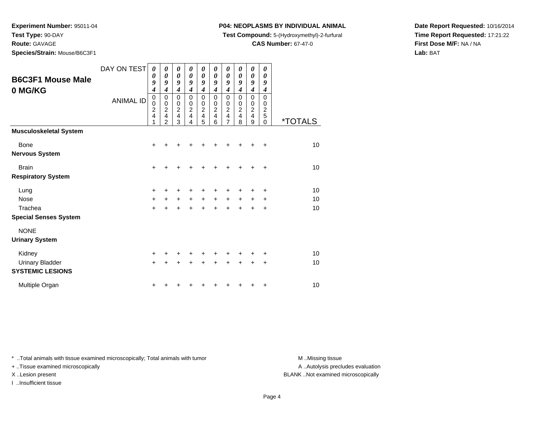**Test Type:** 90-DAY

**Route:** GAVAGE

**Species/Strain:** Mouse/B6C3F1

## **P04: NEOPLASMS BY INDIVIDUAL ANIMAL**

**Test Compound:** 5-(Hydroxymethyl)-2-furfural

**CAS Number:** 67-47-0

**Date Report Requested:** 10/16/2014**Time Report Requested:** 17:21:22**First Dose M/F:** NA / NA**Lab:** BAT

| <b>B6C3F1 Mouse Male</b><br>0 MG/KG               | DAY ON TEST<br><b>ANIMAL ID</b> | 0<br>0<br>9<br>$\boldsymbol{4}$<br>$\mathbf 0$<br>0<br>$\overline{c}$<br>4<br>1 | 0<br>$\boldsymbol{\theta}$<br>9<br>$\boldsymbol{4}$<br>$\mathbf 0$<br>$\mathbf 0$<br>$\overline{\mathbf{c}}$<br>4<br>$\overline{2}$ | 0<br>$\boldsymbol{\theta}$<br>9<br>$\boldsymbol{4}$<br>$\mathbf 0$<br>$\pmb{0}$<br>$\overline{2}$<br>$\overline{4}$<br>3 | 0<br>$\boldsymbol{\theta}$<br>9<br>$\overline{\boldsymbol{4}}$<br>$\Omega$<br>$\mathbf 0$<br>$\overline{c}$<br>$\overline{4}$<br>4 | 0<br>0<br>9<br>$\boldsymbol{4}$<br>$\mathbf 0$<br>$\pmb{0}$<br>$\overline{2}$<br>$\overline{\mathbf{4}}$<br>5 | 0<br>0<br>9<br>4<br>0<br>0<br>$\overline{c}$<br>4<br>6 | 0<br>$\boldsymbol{\theta}$<br>9<br>$\boldsymbol{4}$<br>$\mathbf 0$<br>0<br>$\overline{c}$<br>$\overline{4}$<br>$\overline{7}$ | 0<br>$\boldsymbol{\theta}$<br>9<br>$\boldsymbol{4}$<br>$\Omega$<br>0<br>$\overline{c}$<br>$\overline{4}$<br>8 | 0<br>$\boldsymbol{\theta}$<br>9<br>$\boldsymbol{4}$<br>$\mathsf 0$<br>$\pmb{0}$<br>$\frac{2}{4}$<br>9 | 0<br>0<br>9<br>$\boldsymbol{4}$<br>0<br>0<br>$\overline{c}$<br>5<br>0 | <i><b>*TOTALS</b></i> |
|---------------------------------------------------|---------------------------------|---------------------------------------------------------------------------------|-------------------------------------------------------------------------------------------------------------------------------------|--------------------------------------------------------------------------------------------------------------------------|------------------------------------------------------------------------------------------------------------------------------------|---------------------------------------------------------------------------------------------------------------|--------------------------------------------------------|-------------------------------------------------------------------------------------------------------------------------------|---------------------------------------------------------------------------------------------------------------|-------------------------------------------------------------------------------------------------------|-----------------------------------------------------------------------|-----------------------|
| <b>Musculoskeletal System</b>                     |                                 |                                                                                 |                                                                                                                                     |                                                                                                                          |                                                                                                                                    |                                                                                                               |                                                        |                                                                                                                               |                                                                                                               |                                                                                                       |                                                                       |                       |
| Bone<br><b>Nervous System</b>                     |                                 | $\ddot{}$                                                                       |                                                                                                                                     |                                                                                                                          |                                                                                                                                    |                                                                                                               |                                                        | +                                                                                                                             |                                                                                                               |                                                                                                       | +                                                                     | 10                    |
| <b>Brain</b>                                      |                                 | +                                                                               |                                                                                                                                     |                                                                                                                          |                                                                                                                                    |                                                                                                               |                                                        |                                                                                                                               |                                                                                                               |                                                                                                       | +                                                                     | 10                    |
| <b>Respiratory System</b>                         |                                 |                                                                                 |                                                                                                                                     |                                                                                                                          |                                                                                                                                    |                                                                                                               |                                                        |                                                                                                                               |                                                                                                               |                                                                                                       |                                                                       |                       |
| Lung                                              |                                 | +                                                                               | ٠                                                                                                                                   |                                                                                                                          |                                                                                                                                    | +                                                                                                             | +                                                      | +                                                                                                                             | +                                                                                                             | +                                                                                                     | ٠                                                                     | 10                    |
| <b>Nose</b>                                       |                                 | +                                                                               | $\ddot{}$                                                                                                                           | $\ddot{}$                                                                                                                | $\ddot{}$                                                                                                                          | $\ddot{}$                                                                                                     | $\ddot{}$                                              | $\ddot{}$                                                                                                                     | $\ddot{}$                                                                                                     | $\ddot{}$                                                                                             | $\pm$                                                                 | 10                    |
| Trachea                                           |                                 | $\ddot{}$                                                                       |                                                                                                                                     |                                                                                                                          |                                                                                                                                    | $\ddot{}$                                                                                                     | $\ddot{}$                                              | $\ddot{}$                                                                                                                     | $\ddot{}$                                                                                                     | $\ddot{}$                                                                                             | $\ddot{}$                                                             | 10                    |
| <b>Special Senses System</b>                      |                                 |                                                                                 |                                                                                                                                     |                                                                                                                          |                                                                                                                                    |                                                                                                               |                                                        |                                                                                                                               |                                                                                                               |                                                                                                       |                                                                       |                       |
| <b>NONE</b>                                       |                                 |                                                                                 |                                                                                                                                     |                                                                                                                          |                                                                                                                                    |                                                                                                               |                                                        |                                                                                                                               |                                                                                                               |                                                                                                       |                                                                       |                       |
| <b>Urinary System</b>                             |                                 |                                                                                 |                                                                                                                                     |                                                                                                                          |                                                                                                                                    |                                                                                                               |                                                        |                                                                                                                               |                                                                                                               |                                                                                                       |                                                                       |                       |
| Kidney                                            |                                 | +                                                                               |                                                                                                                                     |                                                                                                                          |                                                                                                                                    |                                                                                                               |                                                        |                                                                                                                               |                                                                                                               |                                                                                                       |                                                                       | 10                    |
| <b>Urinary Bladder</b><br><b>SYSTEMIC LESIONS</b> |                                 | $\ddot{}$                                                                       |                                                                                                                                     |                                                                                                                          |                                                                                                                                    | +                                                                                                             | +                                                      | +                                                                                                                             | +                                                                                                             | +                                                                                                     | +                                                                     | 10                    |
| Multiple Organ                                    |                                 | +                                                                               |                                                                                                                                     |                                                                                                                          |                                                                                                                                    |                                                                                                               |                                                        |                                                                                                                               |                                                                                                               |                                                                                                       | +                                                                     | 10                    |

\* ..Total animals with tissue examined microscopically; Total animals with tumor **M** . Missing tissue M ..Missing tissue

+ ..Tissue examined microscopically

I ..Insufficient tissue

A ..Autolysis precludes evaluation

X ..Lesion present BLANK ..Not examined microscopically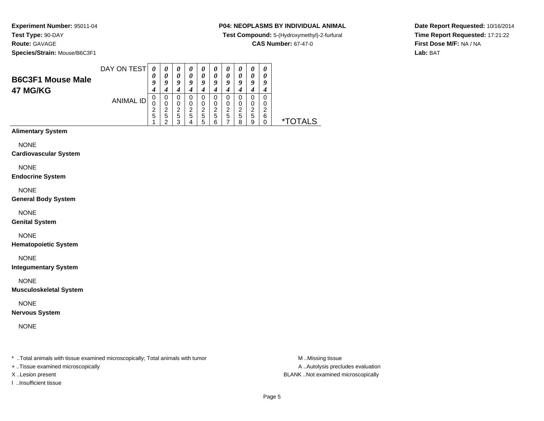**Species/Strain:** Mouse/B6C3F1

## **P04: NEOPLASMS BY INDIVIDUAL ANIMAL**

**Test Compound:** 5-(Hydroxymethyl)-2-furfural

**CAS Number:** 67-47-0

**Date Report Requested:** 10/16/2014**Time Report Requested:** 17:21:22**First Dose M/F:** NA / NA**Lab:** BAT

| <b>B6C3F1 Mouse Male</b><br>47 MG/KG | DAY ON TEST | U<br>O | $\boldsymbol{\theta}$<br>0 | $\boldsymbol{\theta}$<br>$\boldsymbol{\theta}$<br>Q | U<br>o | $\boldsymbol{\theta}$<br>0<br>Q | o                     | U<br>0<br>o      | U<br>o           | 0<br>o                | Q           |   |
|--------------------------------------|-------------|--------|----------------------------|-----------------------------------------------------|--------|---------------------------------|-----------------------|------------------|------------------|-----------------------|-------------|---|
|                                      | ANIMAL ID   | ີ<br>5 | 0<br>ີ<br>5                | 0<br>0<br>2<br>5<br>っ                               | ◠<br>b | 0<br>0<br>2<br>5<br>5           | 0<br>0<br>◠<br>5<br>⌒ | 0<br>0<br>ົ<br>5 | O<br>◠<br>5<br>я | 0<br>0<br>ົ<br>5<br>9 | 0<br>ົ<br>6 | × |

# **Alimentary System**

NONE

#### **Cardiovascular System**

NONE

#### **Endocrine System**

NONE

#### **General Body System**

NONE

#### **Genital System**

NONE

#### **Hematopoietic System**

NONE

### **Integumentary System**

NONE

#### **Musculoskeletal System**

NONE

### **Nervous System**

NONE

\* ..Total animals with tissue examined microscopically; Total animals with tumor **M** ...Missing tissue M ...Missing tissue

+ ..Tissue examined microscopically

I ..Insufficient tissue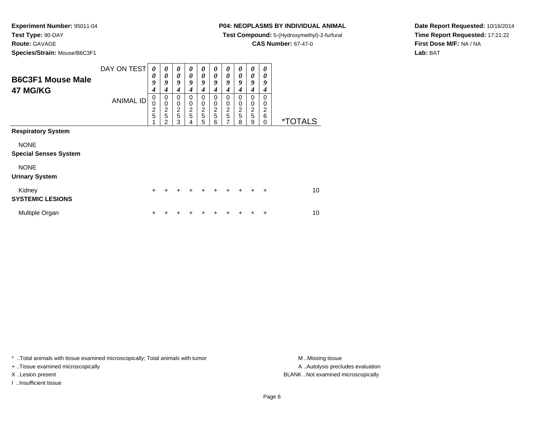**Species/Strain:** Mouse/B6C3F1

## **P04: NEOPLASMS BY INDIVIDUAL ANIMAL**

**Test Compound:** 5-(Hydroxymethyl)-2-furfural

**CAS Number:** 67-47-0

**Date Report Requested:** 10/16/2014**Time Report Requested:** 17:21:22**First Dose M/F:** NA / NA**Lab:** BAT

| <b>B6C3F1 Mouse Male</b><br>47 MG/KG        | DAY ON TEST      | 0<br>0<br>9<br>$\boldsymbol{4}$   | 0<br>$\boldsymbol{\theta}$<br>9<br>4                               | 0<br>0<br>9<br>4                       | $\boldsymbol{\theta}$<br>0<br>9<br>4 | $\boldsymbol{\theta}$<br>0<br>9<br>4 | 0<br>0<br>9<br>4                   | 0<br>0<br>9<br>4             | 0<br>0<br>9<br>4             | 0<br>0<br>9<br>4             | 0<br>0<br>9<br>4             |                       |
|---------------------------------------------|------------------|-----------------------------------|--------------------------------------------------------------------|----------------------------------------|--------------------------------------|--------------------------------------|------------------------------------|------------------------------|------------------------------|------------------------------|------------------------------|-----------------------|
|                                             | <b>ANIMAL ID</b> | 0<br>$\mathbf 0$<br>$\frac{2}{5}$ | 0<br>$\mathbf 0$<br>$\overline{\mathbf{c}}$<br>5<br>$\mathfrak{p}$ | 0<br>$\mathbf 0$<br>$\frac{2}{5}$<br>3 | 0<br>0<br>$\overline{c}$<br>5<br>4   | 0<br>0<br>$\frac{2}{5}$<br>5         | 0<br>0<br>$\overline{c}$<br>5<br>6 | 0<br>0<br>$\frac{2}{5}$<br>7 | 0<br>0<br>$\frac{2}{5}$<br>8 | 0<br>0<br>$\frac{2}{5}$<br>9 | 0<br>0<br>2<br>6<br>$\Omega$ | <i><b>*TOTALS</b></i> |
| <b>Respiratory System</b>                   |                  |                                   |                                                                    |                                        |                                      |                                      |                                    |                              |                              |                              |                              |                       |
| <b>NONE</b><br><b>Special Senses System</b> |                  |                                   |                                                                    |                                        |                                      |                                      |                                    |                              |                              |                              |                              |                       |
| <b>NONE</b><br><b>Urinary System</b>        |                  |                                   |                                                                    |                                        |                                      |                                      |                                    |                              |                              |                              |                              |                       |
| Kidney<br><b>SYSTEMIC LESIONS</b>           |                  | $\ddot{}$                         | +                                                                  | ÷                                      | ÷                                    | $\pm$                                | $\div$                             | $\div$                       | $\div$                       | ÷                            | $\ddot{}$                    | 10                    |
| Multiple Organ                              |                  | ٠                                 |                                                                    |                                        |                                      |                                      |                                    |                              |                              |                              | ٠                            | 10                    |

\* ..Total animals with tissue examined microscopically; Total animals with tumor **M** . Missing tissue M ..Missing tissue

+ ..Tissue examined microscopically

I ..Insufficient tissue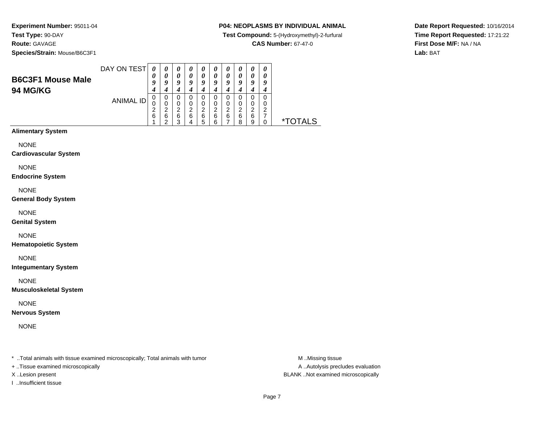**Species/Strain:** Mouse/B6C3F1

### **P04: NEOPLASMS BY INDIVIDUAL ANIMAL**

**Test Compound:** 5-(Hydroxymethyl)-2-furfural

**CAS Number:** 67-47-0

**Date Report Requested:** 10/16/2014**Time Report Requested:** 17:21:22**First Dose M/F:** NA / NA**Lab:** BAT

| <b>B6C3F1 Mouse Male</b><br><b>94 MG/KG</b> | DAY ON TEST | U           |        | U<br>$\boldsymbol{\theta}$<br>9 | a           | U<br>0<br>q                |             | 0<br>0<br>Q      | U<br>0           | U<br>0<br>Q           | U<br>9      |   |
|---------------------------------------------|-------------|-------------|--------|---------------------------------|-------------|----------------------------|-------------|------------------|------------------|-----------------------|-------------|---|
|                                             | ANIMAL ID   | v<br>▃<br>6 | O<br>6 | 0<br>0<br>2<br>6<br>◠           | 0<br>◠<br>6 | 0<br>0<br>າ<br>←<br>6<br>b | ◠<br>6<br>6 | 0<br>0<br>າ<br>6 | 0<br>ົ<br>6<br>8 | 0<br>0<br>◠<br>6<br>9 | 0<br>O<br>◠ | * |

# **Alimentary System**

NONE

#### **Cardiovascular System**

NONE

#### **Endocrine System**

NONE

#### **General Body System**

NONE

#### **Genital System**

## NONE

**Hematopoietic System**

NONE

#### **Integumentary System**

NONE

#### **Musculoskeletal System**

NONE

### **Nervous System**

NONE

\* ..Total animals with tissue examined microscopically; Total animals with tumor **M** ...Missing tissue M ...Missing tissue

+ ..Tissue examined microscopically

I ..Insufficient tissue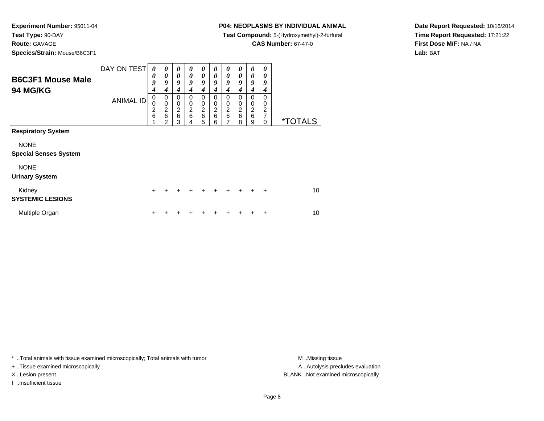**Route:** GAVAGE

**Species/Strain:** Mouse/B6C3F1

## **P04: NEOPLASMS BY INDIVIDUAL ANIMAL**

**Test Compound:** 5-(Hydroxymethyl)-2-furfural

**CAS Number:** 67-47-0

**Date Report Requested:** 10/16/2014**Time Report Requested:** 17:21:22**First Dose M/F:** NA / NA**Lab:** BAT

| <b>B6C3F1 Mouse Male</b><br><b>94 MG/KG</b> | DAY ON TEST      | 0<br>0<br>9<br>4                      | 0<br>$\boldsymbol{\theta}$<br>9<br>4                  | 0<br>$\boldsymbol{\theta}$<br>9<br>$\boldsymbol{4}$ | 0<br>$\boldsymbol{\theta}$<br>9<br>4                      | 0<br>$\boldsymbol{\theta}$<br>9<br>4 | 0<br>$\boldsymbol{\theta}$<br>9<br>4 | 0<br>$\boldsymbol{\theta}$<br>9<br>4 | 0<br>0<br>9<br>4                   | 0<br>0<br>9<br>4             | 0<br>0<br>9<br>4      |                       |
|---------------------------------------------|------------------|---------------------------------------|-------------------------------------------------------|-----------------------------------------------------|-----------------------------------------------------------|--------------------------------------|--------------------------------------|--------------------------------------|------------------------------------|------------------------------|-----------------------|-----------------------|
|                                             | <b>ANIMAL ID</b> | $\pmb{0}$<br>0<br>$\overline{c}$<br>6 | 0<br>$\mathbf 0$<br>$\overline{\mathbf{c}}$<br>6<br>2 | 0<br>$\mathbf 0$<br>$\frac{2}{6}$<br>3              | 0<br>$\mathbf 0$<br>$\overline{c}$<br>$6\phantom{1}$<br>4 | 0<br>0<br>$\boldsymbol{2}$<br>6<br>5 | 0<br>0<br>2<br>6<br>6                | $\Omega$<br>0<br>$\frac{2}{6}$<br>7  | 0<br>0<br>$\overline{c}$<br>6<br>8 | 0<br>0<br>$\frac{2}{6}$<br>9 | 0<br>0<br>2<br>7<br>0 | <i><b>*TOTALS</b></i> |
| <b>Respiratory System</b>                   |                  |                                       |                                                       |                                                     |                                                           |                                      |                                      |                                      |                                    |                              |                       |                       |
| <b>NONE</b><br><b>Special Senses System</b> |                  |                                       |                                                       |                                                     |                                                           |                                      |                                      |                                      |                                    |                              |                       |                       |
| <b>NONE</b><br><b>Urinary System</b>        |                  |                                       |                                                       |                                                     |                                                           |                                      |                                      |                                      |                                    |                              |                       |                       |
| Kidney<br><b>SYSTEMIC LESIONS</b>           |                  | $\ddot{}$                             | +                                                     | ٠                                                   | ÷                                                         | ÷                                    | $\ddot{}$                            | ÷                                    | $\div$                             | ٠                            | ÷                     | 10                    |
| Multiple Organ                              |                  | ٠                                     |                                                       |                                                     |                                                           |                                      |                                      |                                      |                                    |                              | +                     | 10                    |

\* ..Total animals with tissue examined microscopically; Total animals with tumor **M** . Missing tissue M ..Missing tissue

+ ..Tissue examined microscopically

I ..Insufficient tissue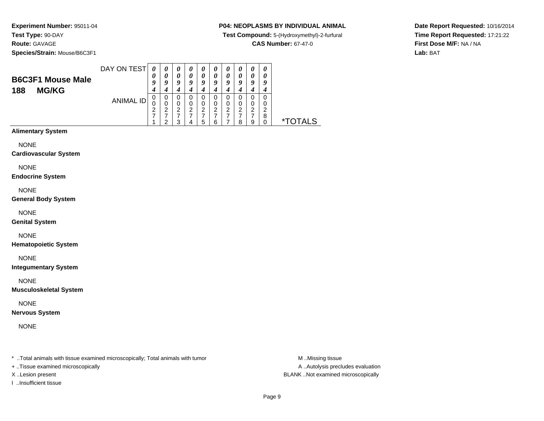**Species/Strain:** Mouse/B6C3F1

## **P04: NEOPLASMS BY INDIVIDUAL ANIMAL**

**Test Compound:** 5-(Hydroxymethyl)-2-furfural

**CAS Number:** 67-47-0

**Date Report Requested:** 10/16/2014**Time Report Requested:** 17:21:22**First Dose M/F:** NA / NA**Lab:** BAT

|                          | DAY ON TEST |                       | $\boldsymbol{\theta}$ | U                     | $\boldsymbol{\theta}$ | U      | 0      | $\boldsymbol{\theta}$ | 0      | U      |
|--------------------------|-------------|-----------------------|-----------------------|-----------------------|-----------------------|--------|--------|-----------------------|--------|--------|
| <b>B6C3F1 Mouse Male</b> |             | $\boldsymbol{\theta}$ | 0                     | $\boldsymbol{\theta}$ | 0                     |        | 0      | 0                     | 0      | 0      |
|                          |             |                       | 9                     | a                     | a                     | a      | Q      | o                     | Q      | 9      |
| <b>MG/KG</b><br>188      |             |                       |                       |                       |                       |        |        |                       |        |        |
|                          | ANIMAL ID   | υ                     | 0                     |                       | 0                     |        | 0      |                       | 0      | 0      |
|                          |             | v<br>っ                | 0<br>2                | 0<br>⌒                | 0<br>າ                | 0<br>⌒ | 0<br>2 | 0<br>ົ                | 0<br>ົ | 0<br>ົ |
|                          |             | ∠                     |                       |                       |                       |        |        |                       |        | 8      |
|                          |             |                       | ◠<br>u                |                       | b                     |        |        | 8                     | 9      |        |

## **Alimentary System**

NONE

#### **Cardiovascular System**

NONE

#### **Endocrine System**

NONE

#### **General Body System**

NONE

#### **Genital System**

## NONE

**Hematopoietic System**

NONE

### **Integumentary System**

NONE

#### **Musculoskeletal System**

NONE

### **Nervous System**

NONE

\* ..Total animals with tissue examined microscopically; Total animals with tumor **M** ...Missing tissue M ...Missing tissue

+ ..Tissue examined microscopically

I ..Insufficient tissue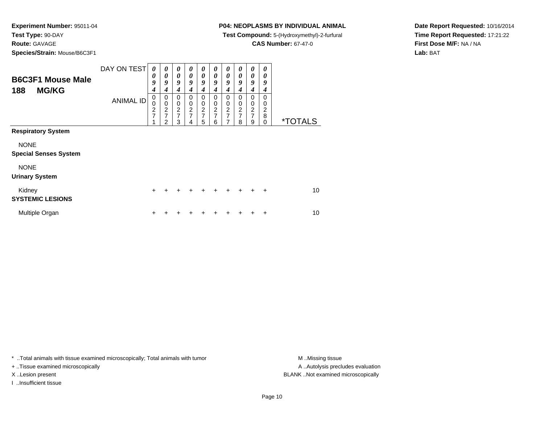**Route:** GAVAGE

**Species/Strain:** Mouse/B6C3F1

## **P04: NEOPLASMS BY INDIVIDUAL ANIMAL**

**Test Compound:** 5-(Hydroxymethyl)-2-furfural

**CAS Number:** 67-47-0

**Date Report Requested:** 10/16/2014**Time Report Requested:** 17:21:22**First Dose M/F:** NA / NA**Lab:** BAT

| <b>B6C3F1 Mouse Male</b><br>188<br><b>MG/KG</b> | DAY ON TEST      | 0<br>0<br>9<br>$\boldsymbol{4}$                  | 0<br>$\boldsymbol{\theta}$<br>9<br>4                               | 0<br>$\boldsymbol{\theta}$<br>9<br>4                        | 0<br>0<br>9<br>4                   | $\boldsymbol{\theta}$<br>0<br>9<br>4              | 0<br>0<br>9<br>4                                | 0<br>0<br>9<br>4                            | 0<br>0<br>9<br>4                                         | 0<br>0<br>9<br>4             | 0<br>0<br>9<br>4             |                       |
|-------------------------------------------------|------------------|--------------------------------------------------|--------------------------------------------------------------------|-------------------------------------------------------------|------------------------------------|---------------------------------------------------|-------------------------------------------------|---------------------------------------------|----------------------------------------------------------|------------------------------|------------------------------|-----------------------|
|                                                 | <b>ANIMAL ID</b> | 0<br>$\mathbf 0$<br>$\overline{\mathbf{c}}$<br>7 | 0<br>$\mathbf 0$<br>$\overline{\mathbf{c}}$<br>$\overline{7}$<br>2 | 0<br>$\mathbf 0$<br>$\boldsymbol{2}$<br>$\overline{7}$<br>3 | 0<br>0<br>2<br>$\overline{7}$<br>4 | 0<br>0<br>$\boldsymbol{2}$<br>$\overline{7}$<br>5 | 0<br>0<br>$\overline{c}$<br>$\overline{7}$<br>6 | 0<br>$\boldsymbol{0}$<br>$\frac{2}{7}$<br>7 | 0<br>0<br>$\overline{\mathbf{c}}$<br>$\overline{7}$<br>8 | 0<br>0<br>$\frac{2}{7}$<br>9 | 0<br>0<br>2<br>8<br>$\Omega$ | <i><b>*TOTALS</b></i> |
| <b>Respiratory System</b>                       |                  |                                                  |                                                                    |                                                             |                                    |                                                   |                                                 |                                             |                                                          |                              |                              |                       |
| <b>NONE</b><br><b>Special Senses System</b>     |                  |                                                  |                                                                    |                                                             |                                    |                                                   |                                                 |                                             |                                                          |                              |                              |                       |
| <b>NONE</b><br><b>Urinary System</b>            |                  |                                                  |                                                                    |                                                             |                                    |                                                   |                                                 |                                             |                                                          |                              |                              |                       |
| Kidney<br><b>SYSTEMIC LESIONS</b>               |                  | $\ddot{}$                                        | +                                                                  | ÷                                                           | ÷                                  | $\div$                                            | $\div$                                          | $\div$                                      | $\ddot{}$                                                | ÷                            | $\ddot{}$                    | 10                    |
| Multiple Organ                                  |                  | ٠                                                |                                                                    |                                                             |                                    |                                                   |                                                 |                                             |                                                          |                              | ٠                            | 10                    |

\* ..Total animals with tissue examined microscopically; Total animals with tumor **M** . Missing tissue M ..Missing tissue

+ ..Tissue examined microscopically

I ..Insufficient tissue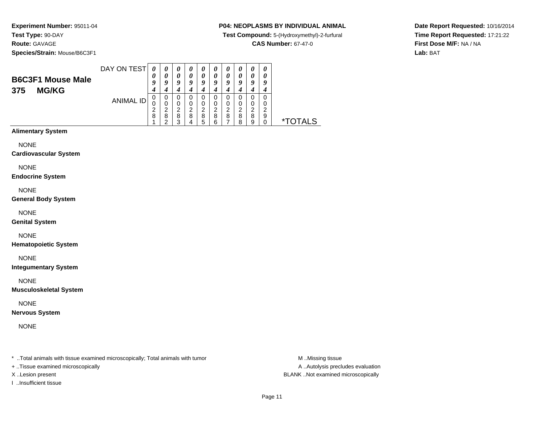**Species/Strain:** Mouse/B6C3F1

## **P04: NEOPLASMS BY INDIVIDUAL ANIMAL**

**Test Compound:** 5-(Hydroxymethyl)-2-furfural

**CAS Number:** 67-47-0

**Date Report Requested:** 10/16/2014**Time Report Requested:** 17:21:22**First Dose M/F:** NA / NA**Lab:** BAT

| <b>B6C3F1 Mouse Male</b> | DAY ON TEST<br>0<br>$\boldsymbol{\theta}$ |   | $\boldsymbol{\theta}$<br>0 | $\boldsymbol{\theta}$<br>0 | $\boldsymbol{\theta}$ | $\boldsymbol{\theta}$<br>0 | U<br>0      | U<br>0                |                  | $\boldsymbol{\theta}$ |        |  |
|--------------------------|-------------------------------------------|---|----------------------------|----------------------------|-----------------------|----------------------------|-------------|-----------------------|------------------|-----------------------|--------|--|
|                          |                                           |   | a                          | Q                          | o                     | O                          | 0           | Q<br>4                | u                | o                     |        |  |
|                          | ANIMAL ID<br>U<br>⌒<br>8                  | ∠ | 0<br>0<br>◠<br>8<br>ີ      | 0<br>0<br>າ<br>8<br>◠      | 0<br>◠<br>8           | 0<br>0<br>2<br>8<br>5      | 0<br>◠<br>8 | 0<br>0<br>ົ<br>8<br>- | U<br>◠<br>8<br>8 | 0<br>0<br>⌒<br>8<br>9 | ົ<br>9 |  |

## **Alimentary System**

NONE

#### **Cardiovascular System**

NONE

#### **Endocrine System**

NONE

#### **General Body System**

NONE

#### **Genital System**

NONE

### **Hematopoietic System**

NONE

### **Integumentary System**

NONE

### **Musculoskeletal System**

NONE

### **Nervous System**

NONE

\* ..Total animals with tissue examined microscopically; Total animals with tumor **M** ...Missing tissue M ...Missing tissue

+ ..Tissue examined microscopically

I ..Insufficient tissue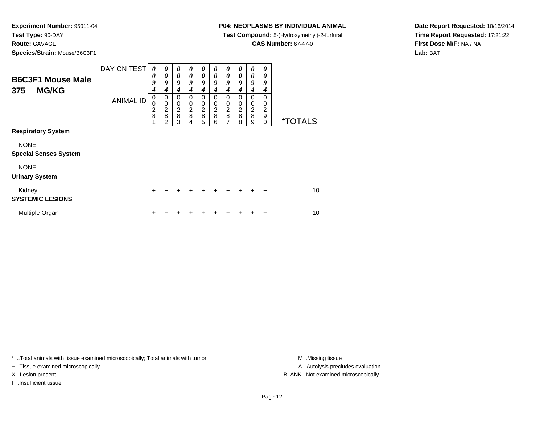## **Route:** GAVAGE

**Species/Strain:** Mouse/B6C3F1

## **P04: NEOPLASMS BY INDIVIDUAL ANIMAL**

**Test Compound:** 5-(Hydroxymethyl)-2-furfural

**CAS Number:** 67-47-0

**Date Report Requested:** 10/16/2014**Time Report Requested:** 17:21:22**First Dose M/F:** NA / NA**Lab:** BAT

| <b>B6C3F1 Mouse Male</b><br><b>MG/KG</b><br>375 | DAY ON TEST      | 0<br>0<br>9<br>$\boldsymbol{4}$ | 0<br>$\boldsymbol{\theta}$<br>9<br>$\boldsymbol{4}$                | 0<br>$\boldsymbol{\theta}$<br>9<br>4                     | 0<br>$\boldsymbol{\theta}$<br>9<br>4      | 0<br>$\boldsymbol{\theta}$<br>9<br>4 | 0<br>0<br>9<br>4                          | 0<br>$\pmb{\theta}$<br>9<br>4 | 0<br>0<br>9<br>4                          | 0<br>$\boldsymbol{\theta}$<br>9<br>$\boldsymbol{4}$ | 0<br>0<br>9<br>4                                 |                       |
|-------------------------------------------------|------------------|---------------------------------|--------------------------------------------------------------------|----------------------------------------------------------|-------------------------------------------|--------------------------------------|-------------------------------------------|-------------------------------|-------------------------------------------|-----------------------------------------------------|--------------------------------------------------|-----------------------|
|                                                 | <b>ANIMAL ID</b> | $\mathbf 0$<br>0<br>2<br>8      | 0<br>$\mathbf 0$<br>$\overline{\mathbf{c}}$<br>8<br>$\overline{2}$ | $\mathbf 0$<br>$\mathbf 0$<br>$\boldsymbol{2}$<br>8<br>3 | $\Omega$<br>0<br>$\overline{c}$<br>8<br>4 | $\Omega$<br>0<br>$\frac{2}{8}$<br>5  | $\Omega$<br>0<br>$\overline{c}$<br>8<br>6 | 0<br>0<br>$\frac{2}{8}$<br>7  | $\Omega$<br>0<br>$\overline{c}$<br>8<br>8 | 0<br>0<br>$\overline{c}$<br>8<br>9                  | $\Omega$<br>0<br>$\overline{2}$<br>9<br>$\Omega$ | <i><b>*TOTALS</b></i> |
| <b>Respiratory System</b>                       |                  |                                 |                                                                    |                                                          |                                           |                                      |                                           |                               |                                           |                                                     |                                                  |                       |
| <b>NONE</b><br><b>Special Senses System</b>     |                  |                                 |                                                                    |                                                          |                                           |                                      |                                           |                               |                                           |                                                     |                                                  |                       |
| <b>NONE</b><br><b>Urinary System</b>            |                  |                                 |                                                                    |                                                          |                                           |                                      |                                           |                               |                                           |                                                     |                                                  |                       |
| Kidney<br><b>SYSTEMIC LESIONS</b>               |                  | $\pm$                           |                                                                    |                                                          | +                                         | ٠                                    |                                           | ÷                             |                                           |                                                     | $\ddot{}$                                        | 10                    |
| Multiple Organ                                  |                  | ٠                               |                                                                    |                                                          |                                           |                                      |                                           |                               |                                           |                                                     | ÷                                                | 10                    |

\* ..Total animals with tissue examined microscopically; Total animals with tumor **M** . Missing tissue M ..Missing tissue

+ ..Tissue examined microscopically

I ..Insufficient tissue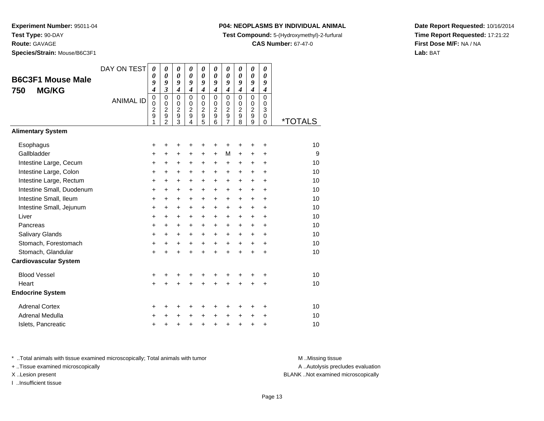**Route:** GAVAGE

**Species/Strain:** Mouse/B6C3F1

### **P04: NEOPLASMS BY INDIVIDUAL ANIMAL**

**Test Compound:** 5-(Hydroxymethyl)-2-furfural

**CAS Number:** 67-47-0

**Date Report Requested:** 10/16/2014**Time Report Requested:** 17:21:22**First Dose M/F:** NA / NA**Lab:** BAT

| <b>B6C3F1 Mouse Male</b><br><b>MG/KG</b><br>750 | DAY ON TEST<br><b>ANIMAL ID</b> | $\boldsymbol{\theta}$<br>0<br>9<br>$\boldsymbol{4}$<br>$\mathbf 0$<br>$\mathbf 0$<br>$\overline{c}$<br>9<br>1 | 0<br>$\boldsymbol{\theta}$<br>9<br>$\mathfrak{z}$<br>$\mathbf 0$<br>$\mathbf 0$<br>$\overline{c}$<br>$\overline{9}$<br>$\mathfrak{p}$ | 0<br>0<br>9<br>4<br>$\mathbf 0$<br>0<br>$\overline{c}$<br>$\overline{9}$<br>3 | $\boldsymbol{\theta}$<br>$\boldsymbol{\theta}$<br>9<br>$\boldsymbol{4}$<br>$\Omega$<br>$\Omega$<br>$\overline{c}$<br>$\boldsymbol{9}$<br>4 | 0<br>$\boldsymbol{\theta}$<br>9<br>$\boldsymbol{4}$<br>$\mathbf 0$<br>$\mathbf 0$<br>$\overline{\mathbf{c}}$<br>$\overline{9}$<br>5 | $\boldsymbol{\theta}$<br>0<br>9<br>$\boldsymbol{4}$<br>$\Omega$<br>0<br>$\overline{c}$<br>9<br>6 | 0<br>0<br>9<br>4<br>$\mathbf 0$<br>0<br>$\frac{2}{9}$<br>$\overline{7}$ | 0<br>0<br>9<br>$\boldsymbol{4}$<br>$\mathbf 0$<br>0<br>2<br>9<br>8 | 0<br>0<br>9<br>4<br>0<br>$\mathbf 0$<br>2<br>9<br>9 | 0<br>0<br>9<br>$\boldsymbol{4}$<br>$\mathbf 0$<br>0<br>3<br>$\mathbf 0$<br>$\Omega$ | *TOTALS |
|-------------------------------------------------|---------------------------------|---------------------------------------------------------------------------------------------------------------|---------------------------------------------------------------------------------------------------------------------------------------|-------------------------------------------------------------------------------|--------------------------------------------------------------------------------------------------------------------------------------------|-------------------------------------------------------------------------------------------------------------------------------------|--------------------------------------------------------------------------------------------------|-------------------------------------------------------------------------|--------------------------------------------------------------------|-----------------------------------------------------|-------------------------------------------------------------------------------------|---------|
| <b>Alimentary System</b>                        |                                 |                                                                                                               |                                                                                                                                       |                                                                               |                                                                                                                                            |                                                                                                                                     |                                                                                                  |                                                                         |                                                                    |                                                     |                                                                                     |         |
|                                                 |                                 |                                                                                                               |                                                                                                                                       |                                                                               |                                                                                                                                            |                                                                                                                                     |                                                                                                  |                                                                         |                                                                    |                                                     |                                                                                     |         |
| Esophagus<br>Gallbladder                        |                                 | +                                                                                                             | +                                                                                                                                     | +                                                                             | +                                                                                                                                          | +                                                                                                                                   | +                                                                                                | +<br>M                                                                  | +                                                                  | +                                                   | +                                                                                   | 10<br>9 |
| Intestine Large, Cecum                          |                                 | +<br>$\ddot{}$                                                                                                | +<br>$\ddot{}$                                                                                                                        | +<br>+                                                                        | +<br>+                                                                                                                                     | +<br>$\ddot{}$                                                                                                                      | +<br>$\ddot{}$                                                                                   | $\ddot{}$                                                               | +<br>+                                                             | +<br>$\ddot{}$                                      | +<br>$\ddot{}$                                                                      | 10      |
| Intestine Large, Colon                          |                                 | +                                                                                                             | +                                                                                                                                     | +                                                                             | +                                                                                                                                          | +                                                                                                                                   | $\ddot{}$                                                                                        | +                                                                       | +                                                                  | +                                                   | +                                                                                   | 10      |
| Intestine Large, Rectum                         |                                 | $\ddot{}$                                                                                                     | $\ddot{}$                                                                                                                             | +                                                                             | +                                                                                                                                          | $\ddot{}$                                                                                                                           | $\ddot{}$                                                                                        | $\ddot{}$                                                               | +                                                                  | +                                                   | $\ddot{}$                                                                           | 10      |
| Intestine Small, Duodenum                       |                                 | $\ddot{}$                                                                                                     | $\ddot{}$                                                                                                                             | +                                                                             | +                                                                                                                                          | $\ddot{}$                                                                                                                           | $\ddot{}$                                                                                        | +                                                                       | $\ddot{}$                                                          | +                                                   | $\ddot{}$                                                                           | 10      |
| Intestine Small, Ileum                          |                                 | +                                                                                                             | $\ddot{}$                                                                                                                             | +                                                                             | +                                                                                                                                          | +                                                                                                                                   | $\ddot{}$                                                                                        | $\ddot{}$                                                               | +                                                                  | $\ddot{}$                                           | $\ddot{}$                                                                           | 10      |
| Intestine Small, Jejunum                        |                                 | $\ddot{}$                                                                                                     | +                                                                                                                                     | +                                                                             | +                                                                                                                                          | +                                                                                                                                   | $\ddot{}$                                                                                        | +                                                                       | +                                                                  | +                                                   | +                                                                                   | 10      |
| Liver                                           |                                 | $\ddot{}$                                                                                                     | $\ddot{}$                                                                                                                             | +                                                                             | +                                                                                                                                          | $\ddot{}$                                                                                                                           | $\ddot{}$                                                                                        | $\ddot{}$                                                               | $\ddot{}$                                                          | +                                                   | $\ddot{}$                                                                           | 10      |
| Pancreas                                        |                                 | +                                                                                                             | +                                                                                                                                     | +                                                                             | +                                                                                                                                          | +                                                                                                                                   | $\ddot{}$                                                                                        | +                                                                       | +                                                                  | +                                                   | +                                                                                   | 10      |
| Salivary Glands                                 |                                 | $\ddot{}$                                                                                                     | +                                                                                                                                     | +                                                                             | +                                                                                                                                          | $\ddot{}$                                                                                                                           | $\ddot{}$                                                                                        | $\ddot{}$                                                               | +                                                                  | $\ddot{}$                                           | $\ddot{}$                                                                           | 10      |
| Stomach, Forestomach                            |                                 | $\ddot{}$                                                                                                     | $\ddot{}$                                                                                                                             | +                                                                             | $\ddot{}$                                                                                                                                  | $\ddot{}$                                                                                                                           | $+$                                                                                              | $+$                                                                     | $+$                                                                | $+$                                                 | $\ddot{}$                                                                           | 10      |
| Stomach, Glandular                              |                                 | $\ddot{}$                                                                                                     |                                                                                                                                       | $\ddot{}$                                                                     | ÷                                                                                                                                          | $\ddot{}$                                                                                                                           | $\ddot{}$                                                                                        | $\ddot{}$                                                               | $\ddot{}$                                                          | $\ddot{}$                                           | $\ddot{}$                                                                           | 10      |
| <b>Cardiovascular System</b>                    |                                 |                                                                                                               |                                                                                                                                       |                                                                               |                                                                                                                                            |                                                                                                                                     |                                                                                                  |                                                                         |                                                                    |                                                     |                                                                                     |         |
| <b>Blood Vessel</b>                             |                                 | +                                                                                                             | +                                                                                                                                     | +                                                                             | +                                                                                                                                          | +                                                                                                                                   | +                                                                                                | +                                                                       | +                                                                  | +                                                   | +                                                                                   | 10      |
| Heart                                           |                                 | $\ddot{}$                                                                                                     |                                                                                                                                       | $\ddot{}$                                                                     | Ŧ.                                                                                                                                         | $\ddot{}$                                                                                                                           | ÷                                                                                                | $\ddot{}$                                                               | $\ddot{}$                                                          | $\ddot{}$                                           | $\ddot{}$                                                                           | 10      |
| <b>Endocrine System</b>                         |                                 |                                                                                                               |                                                                                                                                       |                                                                               |                                                                                                                                            |                                                                                                                                     |                                                                                                  |                                                                         |                                                                    |                                                     |                                                                                     |         |
| <b>Adrenal Cortex</b>                           |                                 | +                                                                                                             | ٠                                                                                                                                     | +                                                                             | +                                                                                                                                          | +                                                                                                                                   | ٠                                                                                                | ٠                                                                       | ٠                                                                  | ٠                                                   | $\ddot{}$                                                                           | 10      |
| Adrenal Medulla                                 |                                 | $\ddot{}$                                                                                                     |                                                                                                                                       | +                                                                             | $\ddot{}$                                                                                                                                  | $\ddot{}$                                                                                                                           | $\ddot{}$                                                                                        | $\ddot{}$                                                               | $\ddot{}$                                                          | $\ddot{}$                                           | $\ddot{}$                                                                           | 10      |
| Islets, Pancreatic                              |                                 | +                                                                                                             | +                                                                                                                                     | +                                                                             | +                                                                                                                                          | +                                                                                                                                   | $\ddot{}$                                                                                        | $\ddot{}$                                                               | +                                                                  | +                                                   | +                                                                                   | 10      |

\* ..Total animals with tissue examined microscopically; Total animals with tumor **M** . Missing tissue M ..Missing tissue

+ ..Tissue examined microscopically

I ..Insufficient tissue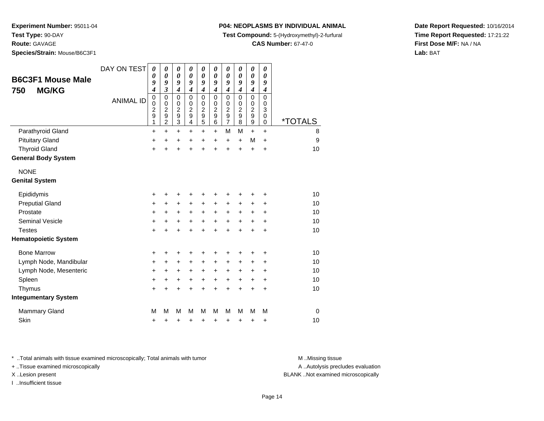**Route:** GAVAGE

**Species/Strain:** Mouse/B6C3F1

## **P04: NEOPLASMS BY INDIVIDUAL ANIMAL**

**Test Compound:** 5-(Hydroxymethyl)-2-furfural

**CAS Number:** 67-47-0

**Date Report Requested:** 10/16/2014**Time Report Requested:** 17:21:22**First Dose M/F:** NA / NA**Lab:** BAT

| <b>B6C3F1 Mouse Male</b>    | DAY ON TEST      | 0<br>0<br>9                                                                         | 0<br>0<br>9                                                              | $\boldsymbol{\theta}$<br>$\boldsymbol{\theta}$<br>9                                                             | 0<br>$\boldsymbol{\theta}$<br>9                                         | $\boldsymbol{\theta}$<br>$\boldsymbol{\theta}$<br>9                           | 0<br>0<br>9                                                                             | 0<br>0<br>9                                                                   | 0<br>0<br>9                                                | 0<br>$\pmb{\theta}$<br>9                                                                                 | 0<br>0<br>9                       |                       |
|-----------------------------|------------------|-------------------------------------------------------------------------------------|--------------------------------------------------------------------------|-----------------------------------------------------------------------------------------------------------------|-------------------------------------------------------------------------|-------------------------------------------------------------------------------|-----------------------------------------------------------------------------------------|-------------------------------------------------------------------------------|------------------------------------------------------------|----------------------------------------------------------------------------------------------------------|-----------------------------------|-----------------------|
| <b>MG/KG</b><br>750         | <b>ANIMAL ID</b> | $\boldsymbol{4}$<br>$\mathbf 0$<br>$\mathbf 0$<br>$\overline{\mathbf{c}}$<br>9<br>1 | 3<br>$\mathbf 0$<br>$\mathbf 0$<br>$\overline{c}$<br>9<br>$\overline{2}$ | $\boldsymbol{4}$<br>$\mathbf 0$<br>$\mathbf 0$<br>$\overline{\mathbf{c}}$<br>$\boldsymbol{9}$<br>$\overline{3}$ | $\boldsymbol{4}$<br>$\Omega$<br>$\mathbf 0$<br>$\overline{c}$<br>9<br>4 | $\boldsymbol{4}$<br>$\pmb{0}$<br>$\pmb{0}$<br>$\frac{2}{9}$<br>$\overline{5}$ | $\boldsymbol{4}$<br>$\mathbf 0$<br>$\mathbf 0$<br>$\overline{c}$<br>9<br>$\overline{6}$ | $\boldsymbol{4}$<br>$\mathbf 0$<br>0<br>$\overline{c}$<br>9<br>$\overline{7}$ | 4<br>0<br>$\mathbf 0$<br>$\overline{\mathbf{c}}$<br>9<br>8 | $\boldsymbol{4}$<br>$\mathbf 0$<br>$\mathbf 0$<br>$\boldsymbol{2}$<br>$\boldsymbol{9}$<br>$\overline{9}$ | 4<br>$\Omega$<br>0<br>3<br>0<br>0 | <i><b>*TOTALS</b></i> |
| Parathyroid Gland           |                  | $\ddot{}$                                                                           | $\ddot{}$                                                                | $\ddot{}$                                                                                                       | $\ddot{}$                                                               | $\ddot{}$                                                                     | $\ddot{}$                                                                               | M                                                                             | M                                                          | $+$                                                                                                      | $\ddot{}$                         | 8                     |
| <b>Pituitary Gland</b>      |                  | +                                                                                   | $\ddot{}$                                                                | $\ddot{}$                                                                                                       | $\ddot{}$                                                               | $\ddot{}$                                                                     | $\ddot{}$                                                                               | $\ddot{}$                                                                     | $\ddot{}$                                                  | M                                                                                                        | $\ddot{}$                         | 9                     |
| <b>Thyroid Gland</b>        |                  | $\ddot{}$                                                                           | $\ddot{}$                                                                | $\ddot{}$                                                                                                       | $\ddot{}$                                                               | $\ddot{}$                                                                     | $\ddot{}$                                                                               | $\ddot{}$                                                                     | $\ddot{}$                                                  | $\ddot{}$                                                                                                | $\ddot{}$                         | 10                    |
| <b>General Body System</b>  |                  |                                                                                     |                                                                          |                                                                                                                 |                                                                         |                                                                               |                                                                                         |                                                                               |                                                            |                                                                                                          |                                   |                       |
| <b>NONE</b>                 |                  |                                                                                     |                                                                          |                                                                                                                 |                                                                         |                                                                               |                                                                                         |                                                                               |                                                            |                                                                                                          |                                   |                       |
| <b>Genital System</b>       |                  |                                                                                     |                                                                          |                                                                                                                 |                                                                         |                                                                               |                                                                                         |                                                                               |                                                            |                                                                                                          |                                   |                       |
| Epididymis                  |                  | +                                                                                   | +                                                                        | +                                                                                                               | +                                                                       | +                                                                             | +                                                                                       | +                                                                             | ٠                                                          | +                                                                                                        | +                                 | 10                    |
| <b>Preputial Gland</b>      |                  | +                                                                                   | $\ddot{}$                                                                | +                                                                                                               | $\ddot{}$                                                               | $+$                                                                           | $\ddot{}$                                                                               | $\ddot{}$                                                                     | +                                                          | $\ddot{}$                                                                                                | +                                 | 10                    |
| Prostate                    |                  | +                                                                                   | +                                                                        | $\ddot{}$                                                                                                       | $\ddot{}$                                                               | $+$                                                                           | $\ddot{}$                                                                               | $\pm$                                                                         | $\pm$                                                      | $\ddot{}$                                                                                                | +                                 | 10                    |
| Seminal Vesicle             |                  | $\ddot{}$                                                                           | +                                                                        | +                                                                                                               | +                                                                       | $\ddot{}$                                                                     | +                                                                                       | $\ddot{}$                                                                     | $\pm$                                                      | +                                                                                                        | ٠                                 | 10                    |
| <b>Testes</b>               |                  | $\ddot{}$                                                                           | $\ddot{}$                                                                | $\ddot{}$                                                                                                       | $\ddot{}$                                                               | $\ddot{}$                                                                     | $\ddot{}$                                                                               | $\ddot{}$                                                                     | $\ddot{}$                                                  | $\ddot{}$                                                                                                | +                                 | 10                    |
| <b>Hematopoietic System</b> |                  |                                                                                     |                                                                          |                                                                                                                 |                                                                         |                                                                               |                                                                                         |                                                                               |                                                            |                                                                                                          |                                   |                       |
| <b>Bone Marrow</b>          |                  | +                                                                                   | +                                                                        | +                                                                                                               | +                                                                       | +                                                                             |                                                                                         | +                                                                             |                                                            | +                                                                                                        | +                                 | 10                    |
| Lymph Node, Mandibular      |                  | +                                                                                   | +                                                                        | +                                                                                                               | +                                                                       | +                                                                             | $\pm$                                                                                   | $\ddot{}$                                                                     | $\pm$                                                      | +                                                                                                        | +                                 | 10                    |
| Lymph Node, Mesenteric      |                  | +                                                                                   | +                                                                        | +                                                                                                               | $\ddot{}$                                                               | $\ddot{}$                                                                     | $\ddot{}$                                                                               | $\ddot{}$                                                                     | +                                                          | +                                                                                                        | +                                 | 10                    |
| Spleen                      |                  | +                                                                                   | +                                                                        | $\ddot{}$                                                                                                       | $\ddot{}$                                                               | $\ddot{}$                                                                     | $\pm$                                                                                   | $\ddot{}$                                                                     | $\pm$                                                      | $\pm$                                                                                                    | +                                 | 10                    |
| Thymus                      |                  | +                                                                                   | $\ddot{}$                                                                | $\ddot{}$                                                                                                       | +                                                                       | $\pm$                                                                         | +                                                                                       | $\ddot{}$                                                                     | +                                                          | $\ddot{}$                                                                                                | $\ddot{}$                         | 10                    |
| <b>Integumentary System</b> |                  |                                                                                     |                                                                          |                                                                                                                 |                                                                         |                                                                               |                                                                                         |                                                                               |                                                            |                                                                                                          |                                   |                       |
| Mammary Gland               |                  | M                                                                                   | М                                                                        | M                                                                                                               | М                                                                       | M                                                                             | М                                                                                       | M                                                                             | м                                                          | M                                                                                                        | M                                 | 0                     |
| Skin                        |                  | +                                                                                   | +                                                                        | +                                                                                                               | +                                                                       | +                                                                             | +                                                                                       | +                                                                             | +                                                          | +                                                                                                        | +                                 | 10                    |

\* ..Total animals with tissue examined microscopically; Total animals with tumor **M** . Missing tissue M ..Missing tissue

+ ..Tissue examined microscopically

I ..Insufficient tissue

A ..Autolysis precludes evaluation

X ..Lesion present BLANK ..Not examined microscopically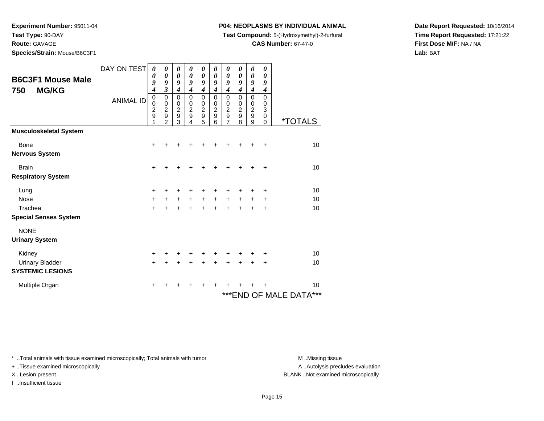**Test Type:** 90-DAY

**Route:** GAVAGE

**Species/Strain:** Mouse/B6C3F1

## **P04: NEOPLASMS BY INDIVIDUAL ANIMAL**

**Test Compound:** 5-(Hydroxymethyl)-2-furfural

**CAS Number:** 67-47-0

**Date Report Requested:** 10/16/2014**Time Report Requested:** 17:21:22**First Dose M/F:** NA / NA**Lab:** BAT

| <b>B6C3F1 Mouse Male</b><br><b>MG/KG</b><br>750 | DAY ON TEST<br><b>ANIMAL ID</b> | $\boldsymbol{\theta}$<br>0<br>9<br>$\boldsymbol{4}$<br>$\mathbf 0$<br>0<br>$\overline{c}$<br>9 | 0<br>0<br>9<br>3<br>$\pmb{0}$<br>0<br>$\overline{2}$<br>$\boldsymbol{9}$ | 0<br>$\boldsymbol{\theta}$<br>9<br>$\boldsymbol{4}$<br>$\mathbf 0$<br>0<br>$\overline{c}$<br>9 | 0<br>$\boldsymbol{\theta}$<br>9<br>$\overline{\boldsymbol{4}}$<br>$\Omega$<br>0<br>$\overline{c}$<br>$\mathsf g$ | 0<br>$\boldsymbol{\theta}$<br>9<br>$\boldsymbol{4}$<br>$\pmb{0}$<br>0<br>$\begin{array}{c}\n2 \\ 9 \\ 5\n\end{array}$ | 0<br>$\boldsymbol{\theta}$<br>9<br>$\boldsymbol{4}$<br>$\mathbf 0$<br>0<br>$\overline{c}$<br>9 | 0<br>$\boldsymbol{\theta}$<br>9<br>$\boldsymbol{4}$<br>$\mathbf 0$<br>0<br>$\frac{2}{9}$ | 0<br>$\boldsymbol{\theta}$<br>9<br>$\overline{\boldsymbol{4}}$<br>0<br>0<br>$\boldsymbol{2}$<br>9 | 0<br>$\boldsymbol{\theta}$<br>9<br>$\boldsymbol{4}$<br>$\pmb{0}$<br>0<br>$\overline{c}$<br>9 | 0<br>$\boldsymbol{\theta}$<br>9<br>$\boldsymbol{4}$<br>$\mathbf 0$<br>0<br>3<br>$\mathbf 0$ |                             |
|-------------------------------------------------|---------------------------------|------------------------------------------------------------------------------------------------|--------------------------------------------------------------------------|------------------------------------------------------------------------------------------------|------------------------------------------------------------------------------------------------------------------|-----------------------------------------------------------------------------------------------------------------------|------------------------------------------------------------------------------------------------|------------------------------------------------------------------------------------------|---------------------------------------------------------------------------------------------------|----------------------------------------------------------------------------------------------|---------------------------------------------------------------------------------------------|-----------------------------|
|                                                 |                                 | 1                                                                                              | $\mathcal{P}$                                                            | 3                                                                                              | 4                                                                                                                |                                                                                                                       | 6                                                                                              | 7                                                                                        | 8                                                                                                 | 9                                                                                            | $\Omega$                                                                                    | <i><b>*TOTALS</b></i>       |
| <b>Musculoskeletal System</b>                   |                                 |                                                                                                |                                                                          |                                                                                                |                                                                                                                  |                                                                                                                       |                                                                                                |                                                                                          |                                                                                                   |                                                                                              |                                                                                             |                             |
| Bone                                            |                                 | +                                                                                              | ÷                                                                        | ٠                                                                                              | +                                                                                                                | +                                                                                                                     | +                                                                                              | +                                                                                        | +                                                                                                 | +                                                                                            | $\ddot{}$                                                                                   | 10                          |
| <b>Nervous System</b>                           |                                 |                                                                                                |                                                                          |                                                                                                |                                                                                                                  |                                                                                                                       |                                                                                                |                                                                                          |                                                                                                   |                                                                                              |                                                                                             |                             |
| <b>Brain</b>                                    |                                 | $\ddot{}$                                                                                      |                                                                          | +                                                                                              |                                                                                                                  | +                                                                                                                     |                                                                                                | +                                                                                        |                                                                                                   |                                                                                              | $\ddot{}$                                                                                   | 10                          |
| <b>Respiratory System</b>                       |                                 |                                                                                                |                                                                          |                                                                                                |                                                                                                                  |                                                                                                                       |                                                                                                |                                                                                          |                                                                                                   |                                                                                              |                                                                                             |                             |
| Lung                                            |                                 | $\pm$                                                                                          |                                                                          | +                                                                                              |                                                                                                                  |                                                                                                                       |                                                                                                |                                                                                          |                                                                                                   |                                                                                              | ٠                                                                                           | 10                          |
| <b>Nose</b>                                     |                                 | $\ddot{}$                                                                                      | $\ddot{}$                                                                | $\ddot{}$                                                                                      | $\ddot{}$                                                                                                        | $\ddot{}$                                                                                                             | $+$                                                                                            | $\ddot{}$                                                                                | $\pm$                                                                                             | $\ddot{}$                                                                                    | +                                                                                           | 10                          |
| Trachea                                         |                                 | $+$                                                                                            | $\ddot{}$                                                                | $\ddot{}$                                                                                      | $\ddot{}$                                                                                                        | $+$                                                                                                                   | $\ddot{}$                                                                                      | $\ddot{}$                                                                                | +                                                                                                 | $\ddot{}$                                                                                    | $\ddot{}$                                                                                   | 10                          |
| <b>Special Senses System</b>                    |                                 |                                                                                                |                                                                          |                                                                                                |                                                                                                                  |                                                                                                                       |                                                                                                |                                                                                          |                                                                                                   |                                                                                              |                                                                                             |                             |
| <b>NONE</b>                                     |                                 |                                                                                                |                                                                          |                                                                                                |                                                                                                                  |                                                                                                                       |                                                                                                |                                                                                          |                                                                                                   |                                                                                              |                                                                                             |                             |
| <b>Urinary System</b>                           |                                 |                                                                                                |                                                                          |                                                                                                |                                                                                                                  |                                                                                                                       |                                                                                                |                                                                                          |                                                                                                   |                                                                                              |                                                                                             |                             |
| Kidney                                          |                                 | +                                                                                              |                                                                          | +                                                                                              |                                                                                                                  |                                                                                                                       |                                                                                                | +                                                                                        |                                                                                                   |                                                                                              | ÷                                                                                           | 10                          |
| <b>Urinary Bladder</b>                          |                                 | $\ddot{}$                                                                                      |                                                                          | $\ddot{}$                                                                                      | +                                                                                                                | $\ddot{}$                                                                                                             | ÷                                                                                              | +                                                                                        | +                                                                                                 | +                                                                                            | ÷                                                                                           | 10                          |
| <b>SYSTEMIC LESIONS</b>                         |                                 |                                                                                                |                                                                          |                                                                                                |                                                                                                                  |                                                                                                                       |                                                                                                |                                                                                          |                                                                                                   |                                                                                              |                                                                                             |                             |
| Multiple Organ                                  |                                 | ٠                                                                                              |                                                                          | +                                                                                              | +                                                                                                                | ٠                                                                                                                     | ٠                                                                                              | ٠                                                                                        |                                                                                                   |                                                                                              |                                                                                             | 10                          |
|                                                 |                                 |                                                                                                |                                                                          |                                                                                                |                                                                                                                  |                                                                                                                       |                                                                                                |                                                                                          |                                                                                                   |                                                                                              |                                                                                             | ***<br>*** END OF MALE DATA |

\* ..Total animals with tissue examined microscopically; Total animals with tumor **M** . Missing tissue M ..Missing tissue

+ ..Tissue examined microscopically

I ..Insufficient tissue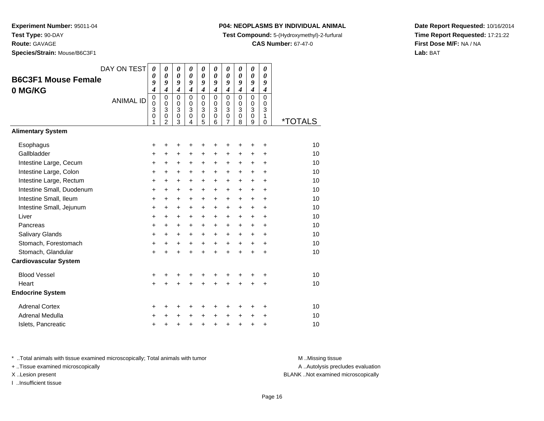**Route:** GAVAGE

**Species/Strain:** Mouse/B6C3F1

### **P04: NEOPLASMS BY INDIVIDUAL ANIMAL**

**Test Compound:** 5-(Hydroxymethyl)-2-furfural

**CAS Number:** 67-47-0

**Date Report Requested:** 10/16/2014**Time Report Requested:** 17:21:22**First Dose M/F:** NA / NA**Lab:** BAT

|                              | DAY ON TEST      | $\boldsymbol{\theta}$            | 0                                | 0                     | $\boldsymbol{\theta}$ | 0                                        | 0                           | 0                                      | 0                         | $\boldsymbol{\theta}$                  | 0                     |                       |
|------------------------------|------------------|----------------------------------|----------------------------------|-----------------------|-----------------------|------------------------------------------|-----------------------------|----------------------------------------|---------------------------|----------------------------------------|-----------------------|-----------------------|
| <b>B6C3F1 Mouse Female</b>   |                  | 0                                | $\boldsymbol{\theta}$            | $\boldsymbol{\theta}$ | $\boldsymbol{\theta}$ | $\boldsymbol{\theta}$                    | $\boldsymbol{\theta}$       | $\boldsymbol{\theta}$                  | $\boldsymbol{\theta}$     | $\boldsymbol{\theta}$                  | 0                     |                       |
| 0 MG/KG                      |                  | 9<br>$\overline{\boldsymbol{4}}$ | 9<br>$\overline{\boldsymbol{4}}$ | 9<br>$\boldsymbol{4}$ | 9<br>$\boldsymbol{4}$ | 9<br>$\boldsymbol{4}$                    | 9<br>$\boldsymbol{4}$       | 9<br>$\boldsymbol{4}$                  | 9<br>$\boldsymbol{4}$     | 9<br>$\boldsymbol{4}$                  | 9<br>$\boldsymbol{4}$ |                       |
|                              |                  | $\mathbf 0$                      | $\mathbf 0$                      | $\mathbf 0$           | $\mathbf 0$           | $\mathbf 0$                              | $\Omega$                    | $\mathbf 0$                            | $\Omega$                  | $\mathbf 0$                            | $\mathbf 0$           |                       |
|                              | <b>ANIMAL ID</b> | 0                                | 0                                | 0                     | 0                     | 0                                        | 0                           | 0                                      | $\Omega$                  | 0                                      | 0                     |                       |
|                              |                  | 3<br>$\mathbf 0$                 | 3<br>0                           | 3<br>$\mathbf 0$      | 3<br>$\mathbf 0$      | $\ensuremath{\mathsf{3}}$<br>$\mathbf 0$ | $\mathbf{3}$<br>$\mathbf 0$ | $\ensuremath{\mathsf{3}}$<br>$\pmb{0}$ | $\mathbf{3}$<br>$\pmb{0}$ | $\ensuremath{\mathsf{3}}$<br>$\pmb{0}$ | 3<br>1                |                       |
|                              |                  | 1                                | $\overline{2}$                   | 3                     | 4                     | 5                                        | 6                           | $\overline{7}$                         | 8                         | 9                                      | $\Omega$              | <i><b>*TOTALS</b></i> |
| <b>Alimentary System</b>     |                  |                                  |                                  |                       |                       |                                          |                             |                                        |                           |                                        |                       |                       |
| Esophagus                    |                  | +                                | +                                | +                     | +                     | +                                        | +                           | ٠                                      | ٠                         | ٠                                      | ٠                     | 10                    |
| Gallbladder                  |                  | $\ddot{}$                        | $\ddot{}$                        | $\ddot{}$             | $\ddot{}$             | $\ddot{}$                                | $\ddot{}$                   | $\ddot{}$                              | $\ddot{}$                 | $\ddot{}$                              | $\ddot{}$             | 10                    |
| Intestine Large, Cecum       |                  | +                                | +                                | +                     | +                     | +                                        | +                           | +                                      | $\ddot{}$                 | $\ddot{}$                              | $\ddot{}$             | 10                    |
| Intestine Large, Colon       |                  | +                                | +                                | +                     | +                     | +                                        | +                           | +                                      | +                         | $\ddot{}$                              | $\ddot{}$             | 10                    |
| Intestine Large, Rectum      |                  | +                                | +                                | $\ddot{}$             | $\ddot{}$             | $\ddot{}$                                | $\ddot{}$                   | $\ddot{}$                              | $\ddot{}$                 | $\ddot{}$                              | $\ddot{}$             | 10                    |
| Intestine Small, Duodenum    |                  | $\ddot{}$                        | $\ddot{}$                        | $\ddot{}$             | $\ddot{}$             | $\ddot{}$                                | $\ddot{}$                   | $\ddot{}$                              | $\ddot{}$                 | $\ddot{}$                              | $\ddot{}$             | 10                    |
| Intestine Small, Ileum       |                  | +                                | $\ddot{}$                        | $\ddot{}$             | $\ddot{}$             | $\ddot{}$                                | $\ddot{}$                   | $\ddot{}$                              | $\ddot{}$                 | $\ddot{}$                              | $\ddot{}$             | 10                    |
| Intestine Small, Jejunum     |                  | +                                | $\ddot{}$                        | +                     | $\ddot{}$             | +                                        | +                           | $\ddot{}$                              | $\ddot{}$                 | $\ddot{}$                              | $\ddot{}$             | 10                    |
| Liver                        |                  | $\ddot{}$                        | $\ddot{}$                        | $\ddot{}$             | $\ddot{}$             | +                                        | +                           | $\ddot{}$                              | +                         | $\ddot{}$                              | $\ddot{}$             | 10                    |
| Pancreas                     |                  | $\ddot{}$                        | $\ddot{}$                        | $\ddot{}$             | $\ddot{}$             | $\ddot{}$                                | +                           | $\ddot{}$                              | $\ddot{}$                 | $\ddot{}$                              | $\ddot{}$             | 10                    |
| <b>Salivary Glands</b>       |                  | +                                | +                                | +                     | $\ddot{}$             | $\ddot{}$                                | $\ddot{}$                   | $\ddot{}$                              | $\ddot{}$                 | $\ddot{}$                              | $\ddot{}$             | 10                    |
| Stomach, Forestomach         |                  | +                                | $\ddot{}$                        | +                     | $\ddot{}$             | $\ddot{}$                                | +                           | +                                      | $\ddot{}$                 | $\ddot{}$                              | $\ddot{}$             | 10                    |
| Stomach, Glandular           |                  | $\ddot{}$                        | $\ddot{}$                        | $\ddot{}$             | $\ddot{}$             | $\ddot{}$                                | $\ddot{}$                   | $\ddot{}$                              | $\ddot{}$                 | $\ddot{}$                              | $\ddot{}$             | 10                    |
| <b>Cardiovascular System</b> |                  |                                  |                                  |                       |                       |                                          |                             |                                        |                           |                                        |                       |                       |
| <b>Blood Vessel</b>          |                  | +                                | +                                | +                     |                       |                                          |                             | +                                      |                           |                                        | ٠                     | 10                    |
| Heart                        |                  | +                                |                                  | $\ddot{}$             |                       |                                          |                             | $\ddot{}$                              | $\ddot{}$                 | $\ddot{}$                              | $\ddot{}$             | 10                    |
| <b>Endocrine System</b>      |                  |                                  |                                  |                       |                       |                                          |                             |                                        |                           |                                        |                       |                       |
| <b>Adrenal Cortex</b>        |                  | +                                | ٠                                | +                     | +                     | +                                        | +                           | +                                      | +                         | +                                      | +                     | 10                    |
| Adrenal Medulla              |                  | +                                |                                  | +                     | $\ddot{}$             | $\ddot{}$                                | +                           | +                                      | +                         | +                                      | ÷                     | 10                    |
| Islets, Pancreatic           |                  | +                                | +                                | +                     | +                     | $\ddot{}$                                | $\ddot{}$                   | $\ddot{}$                              | $\ddot{}$                 | +                                      | +                     | 10                    |

\* ..Total animals with tissue examined microscopically; Total animals with tumor **M** . Missing tissue M ..Missing tissue

+ ..Tissue examined microscopically

I ..Insufficient tissue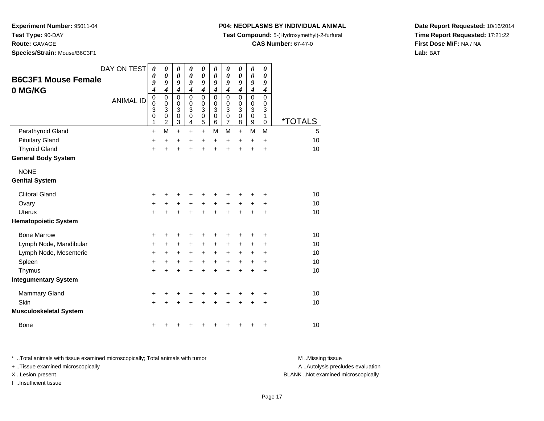**Test Type:** 90-DAY

**Route:** GAVAGE

**Species/Strain:** Mouse/B6C3F1

## **P04: NEOPLASMS BY INDIVIDUAL ANIMAL**

**Test Compound:** 5-(Hydroxymethyl)-2-furfural

**CAS Number:** 67-47-0

**Date Report Requested:** 10/16/2014**Time Report Requested:** 17:21:22**First Dose M/F:** NA / NA**Lab:** BAT

| <b>B6C3F1 Mouse Female</b><br>0 MG/KG | DAY ON TEST<br><b>ANIMAL ID</b> | $\boldsymbol{\theta}$<br>0<br>9<br>4<br>$\mathbf 0$<br>$\mathbf 0$<br>3<br>$\mathbf 0$ | 0<br>$\boldsymbol{\theta}$<br>9<br>$\overline{\boldsymbol{4}}$<br>$\mathbf 0$<br>$\mathbf 0$<br>3<br>$\mathbf 0$ | 0<br>0<br>9<br>$\boldsymbol{4}$<br>$\mathbf 0$<br>0<br>3<br>$\mathsf 0$ | 0<br>0<br>9<br>$\boldsymbol{4}$<br>$\Omega$<br>$\mathbf 0$<br>3<br>$\pmb{0}$ | $\boldsymbol{\theta}$<br>0<br>9<br>$\boldsymbol{4}$<br>$\mathbf 0$<br>0<br>3<br>$\mathsf 0$ | 0<br>$\theta$<br>9<br>$\boldsymbol{4}$<br>$\Omega$<br>$\mathbf 0$<br>3<br>$\mathbf 0$ | $\boldsymbol{\theta}$<br>$\boldsymbol{\theta}$<br>9<br>$\boldsymbol{4}$<br>$\mathbf 0$<br>$\mathbf 0$<br>$\overline{3}$<br>$\mathbf 0$ | 0<br>0<br>9<br>$\overline{\mathbf{4}}$<br>$\mathbf 0$<br>0<br>3<br>$\mathbf 0$ | 0<br>0<br>9<br>4<br>0<br>0<br>$\overline{3}$<br>$\mathbf 0$ | 0<br>0<br>9<br>$\boldsymbol{4}$<br>$\Omega$<br>0<br>3<br>$\mathbf{1}$ |                       |
|---------------------------------------|---------------------------------|----------------------------------------------------------------------------------------|------------------------------------------------------------------------------------------------------------------|-------------------------------------------------------------------------|------------------------------------------------------------------------------|---------------------------------------------------------------------------------------------|---------------------------------------------------------------------------------------|----------------------------------------------------------------------------------------------------------------------------------------|--------------------------------------------------------------------------------|-------------------------------------------------------------|-----------------------------------------------------------------------|-----------------------|
|                                       |                                 | 1                                                                                      | $\overline{2}$                                                                                                   | 3                                                                       | 4                                                                            | 5                                                                                           | 6                                                                                     | $\overline{7}$                                                                                                                         | 8                                                                              | 9                                                           | $\mathbf 0$                                                           | <i><b>*TOTALS</b></i> |
| Parathyroid Gland                     |                                 | $\ddot{}$                                                                              | M                                                                                                                | $\ddot{}$                                                               | $\ddot{}$                                                                    | $\ddot{}$                                                                                   | М                                                                                     | M                                                                                                                                      | $\ddot{}$                                                                      | M                                                           | M                                                                     | 5                     |
| <b>Pituitary Gland</b>                |                                 | $\ddot{}$                                                                              | $\ddot{}$                                                                                                        | +                                                                       | +                                                                            | $\ddot{}$                                                                                   | $\ddot{}$                                                                             | $\ddot{}$                                                                                                                              | $\ddot{}$                                                                      | $\ddot{}$                                                   | $\ddot{}$                                                             | 10                    |
| <b>Thyroid Gland</b>                  |                                 | $\ddot{}$                                                                              | ÷                                                                                                                | $\ddot{}$                                                               | $\ddot{}$                                                                    | $\ddot{}$                                                                                   | $\ddot{}$                                                                             | $\ddot{}$                                                                                                                              | $\ddot{}$                                                                      | $\ddot{}$                                                   | $\ddot{}$                                                             | 10                    |
| <b>General Body System</b>            |                                 |                                                                                        |                                                                                                                  |                                                                         |                                                                              |                                                                                             |                                                                                       |                                                                                                                                        |                                                                                |                                                             |                                                                       |                       |
| <b>NONE</b>                           |                                 |                                                                                        |                                                                                                                  |                                                                         |                                                                              |                                                                                             |                                                                                       |                                                                                                                                        |                                                                                |                                                             |                                                                       |                       |
| <b>Genital System</b>                 |                                 |                                                                                        |                                                                                                                  |                                                                         |                                                                              |                                                                                             |                                                                                       |                                                                                                                                        |                                                                                |                                                             |                                                                       |                       |
| <b>Clitoral Gland</b>                 |                                 | +                                                                                      |                                                                                                                  |                                                                         |                                                                              | +                                                                                           |                                                                                       |                                                                                                                                        |                                                                                |                                                             | +                                                                     | 10                    |
| Ovary                                 |                                 | $\ddot{}$                                                                              | +                                                                                                                | +                                                                       | $\ddot{}$                                                                    | +                                                                                           | +                                                                                     | +                                                                                                                                      | +                                                                              | +                                                           | ٠                                                                     | 10                    |
| <b>Uterus</b>                         |                                 | $\ddot{}$                                                                              |                                                                                                                  | $\ddot{}$                                                               | ÷                                                                            | $\ddot{}$                                                                                   | $\ddot{}$                                                                             | $\ddot{}$                                                                                                                              | ÷                                                                              | +                                                           | $\ddot{}$                                                             | 10                    |
| <b>Hematopoietic System</b>           |                                 |                                                                                        |                                                                                                                  |                                                                         |                                                                              |                                                                                             |                                                                                       |                                                                                                                                        |                                                                                |                                                             |                                                                       |                       |
| <b>Bone Marrow</b>                    |                                 | +                                                                                      |                                                                                                                  | +                                                                       | +                                                                            | +                                                                                           | +                                                                                     | +                                                                                                                                      |                                                                                | +                                                           | +                                                                     | 10                    |
| Lymph Node, Mandibular                |                                 | $\ddot{}$                                                                              | +                                                                                                                | $\ddot{}$                                                               | $\ddot{}$                                                                    | $\ddot{}$                                                                                   | $\ddot{}$                                                                             | $\ddot{}$                                                                                                                              | $\ddot{}$                                                                      | $\pm$                                                       | +                                                                     | 10                    |
| Lymph Node, Mesenteric                |                                 | $\ddot{}$                                                                              | +                                                                                                                | +                                                                       | +                                                                            | $\ddot{}$                                                                                   | +                                                                                     | $\ddot{}$                                                                                                                              | $\pm$                                                                          | +                                                           | +                                                                     | 10                    |
| Spleen                                |                                 | $\ddot{}$                                                                              | +                                                                                                                | +                                                                       | +                                                                            | +                                                                                           | $\ddot{}$                                                                             | $\ddot{}$                                                                                                                              | $\pm$                                                                          | +                                                           | +                                                                     | 10                    |
| Thymus                                |                                 | +                                                                                      |                                                                                                                  | +                                                                       | +                                                                            | $\ddot{}$                                                                                   | $\ddot{}$                                                                             | $\ddot{}$                                                                                                                              | +                                                                              | +                                                           | $\ddot{}$                                                             | 10                    |
| <b>Integumentary System</b>           |                                 |                                                                                        |                                                                                                                  |                                                                         |                                                                              |                                                                                             |                                                                                       |                                                                                                                                        |                                                                                |                                                             |                                                                       |                       |
| <b>Mammary Gland</b>                  |                                 | $\ddot{}$                                                                              | +                                                                                                                | +                                                                       | +                                                                            | +                                                                                           | +                                                                                     | +                                                                                                                                      | +                                                                              | +                                                           | +                                                                     | 10                    |
| Skin                                  |                                 | $\ddot{}$                                                                              |                                                                                                                  |                                                                         |                                                                              | +                                                                                           |                                                                                       |                                                                                                                                        |                                                                                | +                                                           | +                                                                     | 10                    |
| <b>Musculoskeletal System</b>         |                                 |                                                                                        |                                                                                                                  |                                                                         |                                                                              |                                                                                             |                                                                                       |                                                                                                                                        |                                                                                |                                                             |                                                                       |                       |
| <b>Bone</b>                           |                                 | +                                                                                      |                                                                                                                  |                                                                         |                                                                              | +                                                                                           |                                                                                       |                                                                                                                                        |                                                                                | +                                                           | +                                                                     | 10                    |

\* ..Total animals with tissue examined microscopically; Total animals with tumor **M** . Missing tissue M ..Missing tissue A ..Autolysis precludes evaluation + ..Tissue examined microscopically X ..Lesion present BLANK ..Not examined microscopicallyI ..Insufficient tissue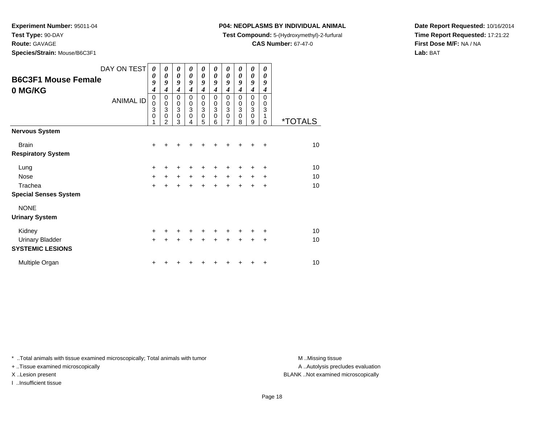**Test Type:** 90-DAY

**Route:** GAVAGE

**Species/Strain:** Mouse/B6C3F1

## **P04: NEOPLASMS BY INDIVIDUAL ANIMAL**

**Test Compound:** 5-(Hydroxymethyl)-2-furfural

**CAS Number:** 67-47-0

**Date Report Requested:** 10/16/2014**Time Report Requested:** 17:21:22**First Dose M/F:** NA / NA**Lab:** BAT

| <b>B6C3F1 Mouse Female</b><br>0 MG/KG | DAY ON TEST<br><b>ANIMAL ID</b> | 0<br>0<br>9<br>4<br>0<br>$\mathbf 0$<br>3<br>$\mathbf 0$ | $\boldsymbol{\theta}$<br>0<br>9<br>4<br>0<br>$\mathbf 0$<br>3<br>$\mathbf 0$<br>$\overline{2}$ | $\boldsymbol{\theta}$<br>$\boldsymbol{\theta}$<br>9<br>4<br>$\pmb{0}$<br>$\pmb{0}$<br>$\sqrt{3}$<br>$\mathbf 0$<br>3 | $\boldsymbol{\theta}$<br>$\boldsymbol{\theta}$<br>9<br>4<br>0<br>$\mathbf 0$<br>3<br>$\mathbf 0$<br>4 | 0<br>$\boldsymbol{\theta}$<br>9<br>$\boldsymbol{4}$<br>0<br>$_3^0$<br>$\pmb{0}$<br>5 | 0<br>0<br>9<br>$\boldsymbol{4}$<br>0<br>$\mathbf 0$<br>3<br>$\mathbf 0$<br>6 | 0<br>0<br>9<br>$\boldsymbol{4}$<br>0<br>$\pmb{0}$<br>$\ensuremath{\mathsf{3}}$<br>$\pmb{0}$<br>$\overline{7}$ | 0<br>0<br>9<br>4<br>0<br>0<br>3<br>0<br>8 | 0<br>0<br>9<br>4<br>0<br>0<br>$\mathbf 3$<br>0<br>9 | 0<br>0<br>9<br>4<br>$\Omega$<br>$\Omega$<br>3<br>1<br>$\overline{0}$ | <i><b>*TOTALS</b></i> |
|---------------------------------------|---------------------------------|----------------------------------------------------------|------------------------------------------------------------------------------------------------|----------------------------------------------------------------------------------------------------------------------|-------------------------------------------------------------------------------------------------------|--------------------------------------------------------------------------------------|------------------------------------------------------------------------------|---------------------------------------------------------------------------------------------------------------|-------------------------------------------|-----------------------------------------------------|----------------------------------------------------------------------|-----------------------|
| <b>Nervous System</b>                 |                                 |                                                          |                                                                                                |                                                                                                                      |                                                                                                       |                                                                                      |                                                                              |                                                                                                               |                                           |                                                     |                                                                      |                       |
| <b>Brain</b>                          |                                 | $\ddot{}$                                                | +                                                                                              | +                                                                                                                    |                                                                                                       |                                                                                      |                                                                              |                                                                                                               | +                                         | +                                                   | ÷                                                                    | 10                    |
| <b>Respiratory System</b>             |                                 |                                                          |                                                                                                |                                                                                                                      |                                                                                                       |                                                                                      |                                                                              |                                                                                                               |                                           |                                                     |                                                                      |                       |
| Lung                                  |                                 | $\ddot{}$                                                | +                                                                                              | ٠                                                                                                                    |                                                                                                       |                                                                                      |                                                                              |                                                                                                               |                                           | +                                                   | +                                                                    | 10                    |
| <b>Nose</b>                           |                                 | $\ddot{}$                                                | $+$                                                                                            | $+$                                                                                                                  | $+$                                                                                                   | $+$                                                                                  | $+$                                                                          | $+$                                                                                                           | $\ddot{}$                                 | $\ddot{}$                                           | +                                                                    | 10                    |
| Trachea                               |                                 | $\ddot{}$                                                | $\ddot{}$                                                                                      | $\ddot{}$                                                                                                            | $\ddot{+}$                                                                                            | $\ddot{+}$                                                                           |                                                                              | $\ddot{}$                                                                                                     | $\ddot{}$                                 | $\ddot{}$                                           | $\ddot{}$                                                            | 10                    |
| <b>Special Senses System</b>          |                                 |                                                          |                                                                                                |                                                                                                                      |                                                                                                       |                                                                                      |                                                                              |                                                                                                               |                                           |                                                     |                                                                      |                       |
| <b>NONE</b>                           |                                 |                                                          |                                                                                                |                                                                                                                      |                                                                                                       |                                                                                      |                                                                              |                                                                                                               |                                           |                                                     |                                                                      |                       |
| <b>Urinary System</b>                 |                                 |                                                          |                                                                                                |                                                                                                                      |                                                                                                       |                                                                                      |                                                                              |                                                                                                               |                                           |                                                     |                                                                      |                       |
| Kidney                                |                                 | $\ddot{}$                                                | +                                                                                              | ÷                                                                                                                    | ٠                                                                                                     | $\ddot{}$                                                                            | ÷                                                                            | ٠                                                                                                             | ٠                                         | +                                                   | ٠                                                                    | 10                    |
| <b>Urinary Bladder</b>                |                                 | $\ddot{}$                                                |                                                                                                | $\ddot{}$                                                                                                            |                                                                                                       |                                                                                      |                                                                              |                                                                                                               |                                           | $\ddot{}$                                           | $\ddot{}$                                                            | 10                    |
| <b>SYSTEMIC LESIONS</b>               |                                 |                                                          |                                                                                                |                                                                                                                      |                                                                                                       |                                                                                      |                                                                              |                                                                                                               |                                           |                                                     |                                                                      |                       |
| Multiple Organ                        |                                 | +                                                        |                                                                                                |                                                                                                                      |                                                                                                       |                                                                                      |                                                                              |                                                                                                               |                                           |                                                     | ٠                                                                    | 10                    |

\* ..Total animals with tissue examined microscopically; Total animals with tumor **M** . Missing tissue M ..Missing tissue

+ ..Tissue examined microscopically

I ..Insufficient tissue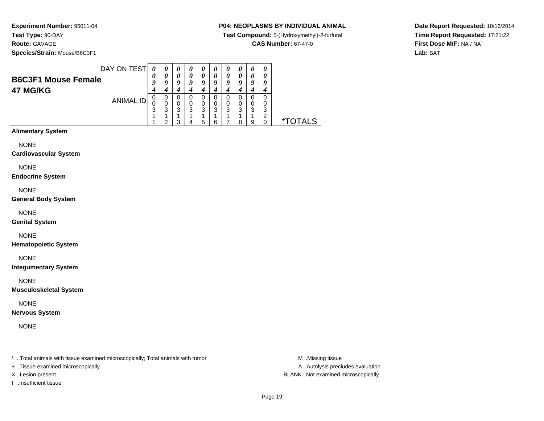### **P04: NEOPLASMS BY INDIVIDUAL ANIMAL**

**Test Compound:** 5-(Hydroxymethyl)-2-furfural

**CAS Number:** 67-47-0

**Date Report Requested:** 10/16/2014**Time Report Requested:** 17:21:22**First Dose M/F:** NA / NA**Lab:** BAT

**Species/Strain:** Mouse/B6C3F1

|                            | DAY ON TEST | 0 | $\boldsymbol{\theta}$ | 0 | 0 | 0 | $\boldsymbol{U}$ | $\boldsymbol{\theta}$ | " |   | Ű |                       |
|----------------------------|-------------|---|-----------------------|---|---|---|------------------|-----------------------|---|---|---|-----------------------|
| <b>B6C3F1 Mouse Female</b> |             | 0 | 0                     | 0 | 0 | 0 | 0                | 0                     |   |   |   |                       |
|                            |             | 9 | 9                     | 9 | Q | Q | 9                | 9                     | Q | Q | o |                       |
| 47 MG/KG                   |             | 4 |                       | 4 |   |   |                  | 4                     |   |   |   |                       |
|                            | ANIMAL ID   | 0 | 0                     | 0 |   | 0 | 0                | 0                     |   |   |   |                       |
|                            |             |   | 0                     | 0 | 0 | 0 | 0                | 0                     |   |   |   |                       |
|                            |             | 3 | 3                     | 3 | 3 | 3 | 3                | 3                     | 3 | 3 | 3 |                       |
|                            |             |   |                       |   |   |   |                  |                       |   |   |   |                       |
|                            |             |   | ົ                     | 3 | Δ | 5 | 6                |                       | 8 | ā |   | <i><b>*TOTALS</b></i> |
| <b>Alimentary System</b>   |             |   |                       |   |   |   |                  |                       |   |   |   |                       |

NONE

**Cardiovascular System**

NONE

**Endocrine System**

NONE

**General Body System**

NONE

**Genital System**

NONE

**Hematopoietic System**

NONE

**Integumentary System**

NONE

**Musculoskeletal System**

NONE

**Nervous System**

NONE

\* ..Total animals with tissue examined microscopically; Total animals with tumor **M** ...Missing tissue M ...Missing tissue

+ ..Tissue examined microscopically

I ..Insufficient tissue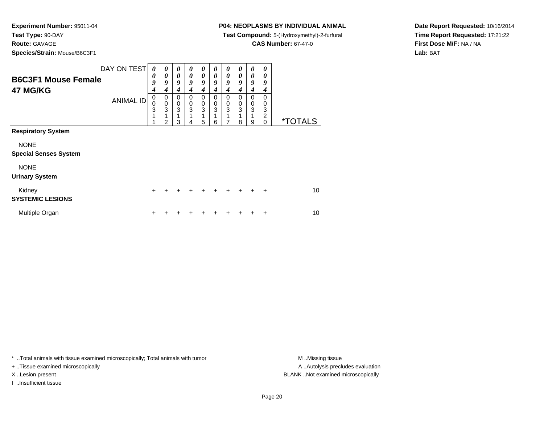**Species/Strain:** Mouse/B6C3F1

### **P04: NEOPLASMS BY INDIVIDUAL ANIMAL**

**Test Compound:** 5-(Hydroxymethyl)-2-furfural

**CAS Number:** 67-47-0

**Date Report Requested:** 10/16/2014**Time Report Requested:** 17:21:22**First Dose M/F:** NA / NA**Lab:** BAT

| <b>B6C3F1 Mouse Female</b><br>47 MG/KG      | DAY ON TEST<br><b>ANIMAL ID</b> | 0<br>0<br>9<br>$\boldsymbol{4}$<br>$\mathbf 0$<br>$\pmb{0}$<br>3<br>1<br>$\overline{ }$ | 0<br>0<br>9<br>4<br>0<br>$\mathbf 0$<br>3<br>$\mathfrak{p}$ | 0<br>0<br>9<br>4<br>0<br>$\mathbf 0$<br>3<br>1<br>3 | 0<br>0<br>9<br>4<br>0<br>0<br>3<br>4 | 0<br>0<br>9<br>4<br>0<br>0<br>3<br>5 | 0<br>0<br>9<br>4<br>0<br>0<br>3<br>6 | 0<br>0<br>9<br>4<br>0<br>$\pmb{0}$<br>3<br>7 | 0<br>0<br>9<br>4<br>$\Omega$<br>0<br>3<br>1<br>8 | 0<br>0<br>9<br>4<br>0<br>$\pmb{0}$<br>3<br>1<br>9 | 0<br>0<br>9<br>4<br>$\Omega$<br>0<br>3<br>2<br>$\Omega$ | <i><b>*TOTALS</b></i> |
|---------------------------------------------|---------------------------------|-----------------------------------------------------------------------------------------|-------------------------------------------------------------|-----------------------------------------------------|--------------------------------------|--------------------------------------|--------------------------------------|----------------------------------------------|--------------------------------------------------|---------------------------------------------------|---------------------------------------------------------|-----------------------|
| <b>Respiratory System</b>                   |                                 |                                                                                         |                                                             |                                                     |                                      |                                      |                                      |                                              |                                                  |                                                   |                                                         |                       |
| <b>NONE</b><br><b>Special Senses System</b> |                                 |                                                                                         |                                                             |                                                     |                                      |                                      |                                      |                                              |                                                  |                                                   |                                                         |                       |
| <b>NONE</b><br><b>Urinary System</b>        |                                 |                                                                                         |                                                             |                                                     |                                      |                                      |                                      |                                              |                                                  |                                                   |                                                         |                       |
| Kidney<br><b>SYSTEMIC LESIONS</b>           |                                 | ÷.                                                                                      | +                                                           | +                                                   | +                                    | $\div$                               | $\ddot{}$                            | $\ddot{}$                                    | $+$                                              | $\ddot{}$                                         | $\ddot{}$                                               | 10                    |
| Multiple Organ                              |                                 | ٠                                                                                       |                                                             |                                                     |                                      |                                      |                                      |                                              |                                                  |                                                   | ÷                                                       | 10                    |

\* ..Total animals with tissue examined microscopically; Total animals with tumor **M** . Missing tissue M ..Missing tissue

+ ..Tissue examined microscopically

I ..Insufficient tissue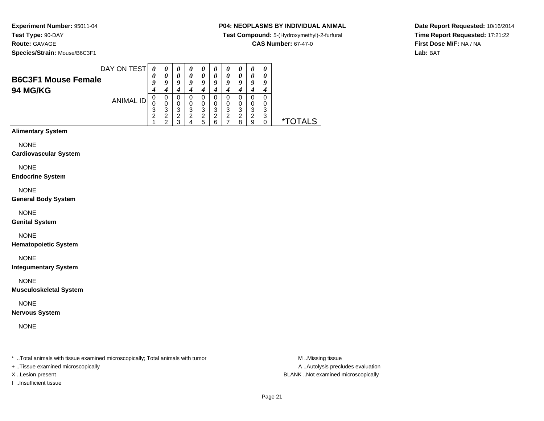**Species/Strain:** Mouse/B6C3F1

## **P04: NEOPLASMS BY INDIVIDUAL ANIMAL**

**Test Compound:** 5-(Hydroxymethyl)-2-furfural

**CAS Number:** 67-47-0

**Date Report Requested:** 10/16/2014**Time Report Requested:** 17:21:22**First Dose M/F:** NA / NA**Lab:** BAT

| DAY ON TEST                                   | 0                               | $\theta$              | $\boldsymbol{\theta}$ | $\boldsymbol{\theta}$ | $\boldsymbol{\theta}$ | $\boldsymbol{\theta}$ | $\boldsymbol{\theta}$ | $\boldsymbol{\theta}$ | $\boldsymbol{\theta}$ | $\boldsymbol{\theta}$ |                       |
|-----------------------------------------------|---------------------------------|-----------------------|-----------------------|-----------------------|-----------------------|-----------------------|-----------------------|-----------------------|-----------------------|-----------------------|-----------------------|
| <b>B6C3F1 Mouse Female</b><br><b>94 MG/KG</b> | $\boldsymbol{\theta}$<br>9<br>4 | 0<br>9<br>4           | 0<br>9<br>4           | 0<br>9                | 0<br>9<br>4           | 0<br>9                | 0<br>9<br>4           | 0<br>9                | 0<br>9<br>4           | 0<br>9<br>4           |                       |
| <b>ANIMAL ID</b>                              | 3<br>2                          | 0<br>0<br>3<br>ົ<br>ົ | 0<br>0<br>3<br>2<br>з | 0<br>0<br>3<br>ົ<br>4 | 0<br>0<br>3<br>2<br>5 | 0<br>3<br>2<br>6      | 0<br>0<br>3<br>2      | 0<br>3<br>ົ<br>я      | 0<br>0<br>3<br>2<br>9 | 3<br>っ<br>J           | <i><b>*TOTALS</b></i> |
| <b>Alimentary System</b>                      |                                 |                       |                       |                       |                       |                       |                       |                       |                       |                       |                       |

NONE

**Cardiovascular System**

NONE

**Endocrine System**

NONE

**General Body System**

NONE

**Genital System**

NONE

**Hematopoietic System**

NONE

**Integumentary System**

NONE

**Musculoskeletal System**

NONE

**Nervous System**

NONE

\* ..Total animals with tissue examined microscopically; Total animals with tumor **M** ...Missing tissue M ...Missing tissue

+ ..Tissue examined microscopically

I ..Insufficient tissue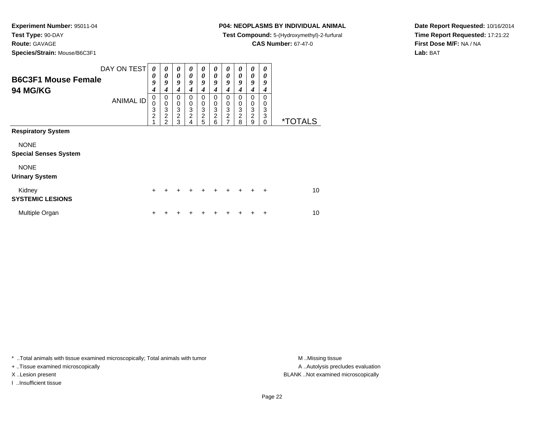**Route:** GAVAGE

**Species/Strain:** Mouse/B6C3F1

## **P04: NEOPLASMS BY INDIVIDUAL ANIMAL**

**Test Compound:** 5-(Hydroxymethyl)-2-furfural

**CAS Number:** 67-47-0

**Date Report Requested:** 10/16/2014**Time Report Requested:** 17:21:22**First Dose M/F:** NA / NA**Lab:** BAT

| <b>B6C3F1 Mouse Female</b><br><b>94 MG/KG</b> | DAY ON TEST<br><b>ANIMAL ID</b> | 0<br>0<br>9<br>4<br>$\mathbf 0$<br>$\pmb{0}$<br>3<br>$\overline{c}$<br>$\overline{A}$ | 0<br>0<br>9<br>4<br>0<br>$\mathbf 0$<br>3<br>$\overline{\mathbf{c}}$<br>2 | 0<br>$\boldsymbol{\theta}$<br>9<br>4<br>0<br>0<br>$\ensuremath{\mathsf{3}}$<br>$\overline{2}$<br>3 | 0<br>0<br>9<br>4<br>0<br>0<br>3<br>$\overline{c}$ | 0<br>0<br>9<br>4<br>0<br>0<br>$\frac{3}{2}$ | 0<br>0<br>9<br>4<br>0<br>0<br>3<br>$\overline{\mathbf{c}}$<br>6 | 0<br>0<br>9<br>4<br>0<br>0<br>3<br>$\frac{2}{7}$ | 0<br>0<br>9<br>4<br>$\Omega$<br>$\mathbf 0$<br>$\ensuremath{\mathsf{3}}$<br>$\overline{c}$<br>8 | 0<br>0<br>9<br>4<br>$\Omega$<br>0<br>$\ensuremath{\mathsf{3}}$<br>$\overline{2}$<br>9 | 0<br>0<br>9<br>4<br>$\Omega$<br>0<br>3<br>3<br>$\Omega$ | <i><b>*TOTALS</b></i> |
|-----------------------------------------------|---------------------------------|---------------------------------------------------------------------------------------|---------------------------------------------------------------------------|----------------------------------------------------------------------------------------------------|---------------------------------------------------|---------------------------------------------|-----------------------------------------------------------------|--------------------------------------------------|-------------------------------------------------------------------------------------------------|---------------------------------------------------------------------------------------|---------------------------------------------------------|-----------------------|
| <b>Respiratory System</b>                     |                                 |                                                                                       |                                                                           |                                                                                                    |                                                   |                                             |                                                                 |                                                  |                                                                                                 |                                                                                       |                                                         |                       |
| <b>NONE</b><br><b>Special Senses System</b>   |                                 |                                                                                       |                                                                           |                                                                                                    |                                                   |                                             |                                                                 |                                                  |                                                                                                 |                                                                                       |                                                         |                       |
| <b>NONE</b><br><b>Urinary System</b>          |                                 |                                                                                       |                                                                           |                                                                                                    |                                                   |                                             |                                                                 |                                                  |                                                                                                 |                                                                                       |                                                         |                       |
| Kidney<br><b>SYSTEMIC LESIONS</b>             |                                 | $\ddot{}$                                                                             |                                                                           | +                                                                                                  | +                                                 | ÷                                           | $\div$                                                          | $\div$                                           | $+$                                                                                             | $\ddot{}$                                                                             | $\ddot{}$                                               | 10                    |
| Multiple Organ                                |                                 |                                                                                       |                                                                           |                                                                                                    |                                                   |                                             |                                                                 |                                                  |                                                                                                 |                                                                                       |                                                         | 10                    |

\* ..Total animals with tissue examined microscopically; Total animals with tumor **M** . Missing tissue M ..Missing tissue

+ ..Tissue examined microscopically

I ..Insufficient tissue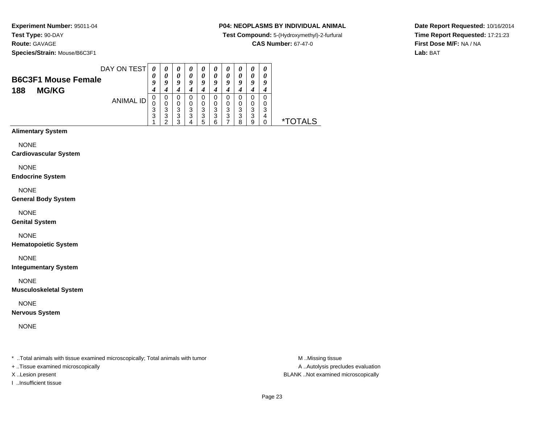**Species/Strain:** Mouse/B6C3F1

## **P04: NEOPLASMS BY INDIVIDUAL ANIMAL**

**Test Compound:** 5-(Hydroxymethyl)-2-furfural

**CAS Number:** 67-47-0

**Date Report Requested:** 10/16/2014**Time Report Requested:** 17:21:23**First Dose M/F:** NA / NA**Lab:** BAT

| <b>B6C3F1 Mouse Female</b><br>188<br><b>MG/KG</b> | DAY ON TEST | 0<br>U<br>9<br>4 | $\boldsymbol{\theta}$<br>0<br>Q | $\boldsymbol{\theta}$<br>0<br>Q | $\boldsymbol{\theta}$<br>0<br>a | 0<br>0<br>Q           | U<br>0<br>o | U<br>0<br>Q<br>4 | u                | $\boldsymbol{\theta}$<br>o |        |          |
|---------------------------------------------------|-------------|------------------|---------------------------------|---------------------------------|---------------------------------|-----------------------|-------------|------------------|------------------|----------------------------|--------|----------|
|                                                   | ANIMAL ID   | U<br>3<br>3      | 0<br>0<br>3<br>3<br>◠           | 0<br>0<br>3<br>3<br>っ           | 0<br>3<br>3                     | 0<br>0<br>3<br>3<br>5 | 0<br>3<br>3 | 0<br>0<br>3<br>3 | O<br>3<br>3<br>я | 0<br>0<br>3<br>3<br>q      | າ<br>4 | *TOTAL S |
| Alberta Company Constant                          |             |                  |                                 |                                 |                                 |                       |             |                  |                  |                            |        |          |

# **Alimentary System**

NONE

**Cardiovascular System**

NONE

**Endocrine System**

NONE

**General Body System**

NONE

**Genital System**

NONE

**Hematopoietic System**

NONE

**Integumentary System**

NONE

**Musculoskeletal System**

NONE

**Nervous System**

NONE

\* ..Total animals with tissue examined microscopically; Total animals with tumor **M** ...Missing tissue M ...Missing tissue

+ ..Tissue examined microscopically

I ..Insufficient tissue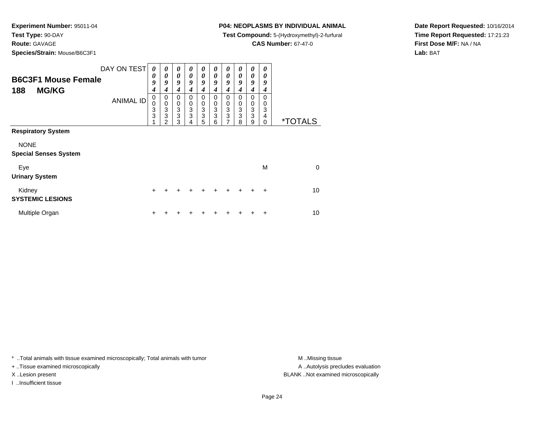## **Route:** GAVAGE

**Species/Strain:** Mouse/B6C3F1

### **P04: NEOPLASMS BY INDIVIDUAL ANIMAL**

**Test Compound:** 5-(Hydroxymethyl)-2-furfural

**CAS Number:** 67-47-0

**Date Report Requested:** 10/16/2014**Time Report Requested:** 17:21:23**First Dose M/F:** NA / NA**Lab:** BAT

| <b>B6C3F1 Mouse Female</b><br><b>MG/KG</b><br>188                        | DAY ON TEST<br><b>ANIMAL ID</b> | $\theta$<br>0<br>9<br>4<br>0<br>0<br>3<br>3 | 0<br>0<br>9<br>4<br>0<br>$\mathbf 0$<br>3<br>3<br>$\mathcal{D}$ | 0<br>0<br>9<br>4<br>0<br>$\mathbf 0$<br>$\frac{3}{3}$<br>3 | 0<br>0<br>9<br>4<br>0<br>0<br>3<br>3<br>4 | 0<br>0<br>9<br>4<br>0<br>0<br>$\frac{3}{3}$<br>5 | 0<br>0<br>9<br>4<br>0<br>0<br>3<br>3<br>6 | 0<br>0<br>9<br>4<br>0<br>0<br>3<br>3<br>$\overline{ }$ | 0<br>0<br>9<br>4<br>$\Omega$<br>0<br>3<br>3<br>8 | 0<br>0<br>9<br>4<br>0<br>0<br>3<br>3<br>9 | 0<br>0<br>9<br>4<br>$\Omega$<br>0<br>3<br>4<br>$\Omega$ | <i><b>*TOTALS</b></i> |
|--------------------------------------------------------------------------|---------------------------------|---------------------------------------------|-----------------------------------------------------------------|------------------------------------------------------------|-------------------------------------------|--------------------------------------------------|-------------------------------------------|--------------------------------------------------------|--------------------------------------------------|-------------------------------------------|---------------------------------------------------------|-----------------------|
| <b>Respiratory System</b><br><b>NONE</b><br><b>Special Senses System</b> |                                 |                                             |                                                                 |                                                            |                                           |                                                  |                                           |                                                        |                                                  |                                           |                                                         |                       |
| Eye<br><b>Urinary System</b>                                             |                                 |                                             |                                                                 |                                                            |                                           |                                                  |                                           |                                                        |                                                  |                                           | M                                                       | $\Omega$              |
| Kidney<br><b>SYSTEMIC LESIONS</b>                                        |                                 | $\pm$                                       | +                                                               | +                                                          |                                           |                                                  |                                           |                                                        |                                                  |                                           | $\ddot{}$                                               | 10                    |
| Multiple Organ                                                           |                                 | ٠                                           |                                                                 |                                                            |                                           |                                                  |                                           |                                                        |                                                  |                                           |                                                         | 10                    |

\* ..Total animals with tissue examined microscopically; Total animals with tumor **M** . Missing tissue M ..Missing tissue

+ ..Tissue examined microscopically

I ..Insufficient tissue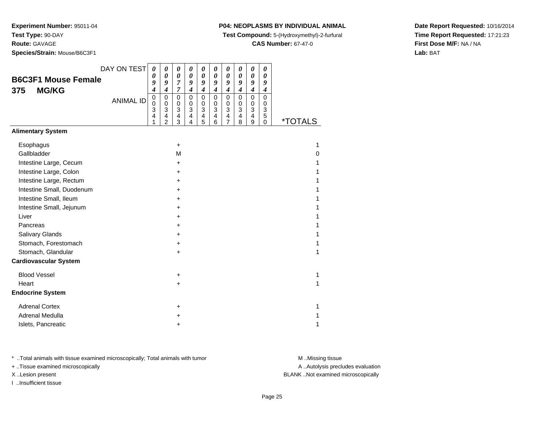**Route:** GAVAGE

**Species/Strain:** Mouse/B6C3F1

## **P04: NEOPLASMS BY INDIVIDUAL ANIMAL**

**Test Compound:** 5-(Hydroxymethyl)-2-furfural

**CAS Number:** 67-47-0

**Date Report Requested:** 10/16/2014**Time Report Requested:** 17:21:23**First Dose M/F:** NA / NA**Lab:** BAT

| DAY ON TEST                  | 0                                    | 0                                                                        | $\boldsymbol{\theta}$                                              | 0                                                    | 0                                                                 | 0                                                                 | 0                                            | $\boldsymbol{\theta}$                                             | $\pmb{\theta}$                                                                                       | $\boldsymbol{\theta}$                                             |                       |
|------------------------------|--------------------------------------|--------------------------------------------------------------------------|--------------------------------------------------------------------|------------------------------------------------------|-------------------------------------------------------------------|-------------------------------------------------------------------|----------------------------------------------|-------------------------------------------------------------------|------------------------------------------------------------------------------------------------------|-------------------------------------------------------------------|-----------------------|
| <b>B6C3F1 Mouse Female</b>   | 0<br>9                               | $\boldsymbol{\theta}$<br>9                                               | 0<br>7                                                             | $\boldsymbol{\theta}$<br>9                           | $\boldsymbol{\theta}$<br>9                                        | 0<br>9                                                            | 0<br>9                                       | 0<br>9                                                            | $\boldsymbol{\theta}$<br>9                                                                           | $\boldsymbol{\theta}$<br>9                                        |                       |
| <b>MG/KG</b><br>375          | 4                                    | $\boldsymbol{4}$                                                         | $\overline{7}$                                                     | $\boldsymbol{4}$                                     | $\boldsymbol{4}$                                                  | $\boldsymbol{4}$                                                  | $\boldsymbol{4}$                             | $\boldsymbol{4}$                                                  | $\boldsymbol{4}$                                                                                     | $\boldsymbol{4}$                                                  |                       |
| <b>ANIMAL ID</b>             | $\mathbf 0$<br>$\mathbf 0$<br>3<br>4 | $\pmb{0}$<br>$\pmb{0}$<br>3<br>$\overline{\mathbf{4}}$<br>$\overline{2}$ | $\pmb{0}$<br>0<br>$\ensuremath{\mathsf{3}}$<br>$\overline{4}$<br>3 | $\mathsf 0$<br>$\pmb{0}$<br>$\overline{3}$<br>4<br>4 | $\mathbf 0$<br>$\mathbf 0$<br>$\ensuremath{\mathsf{3}}$<br>4<br>5 | $\mathbf 0$<br>$\mathbf 0$<br>$\ensuremath{\mathsf{3}}$<br>4<br>6 | $\mathbf 0$<br>0<br>3<br>4<br>$\overline{7}$ | $\mathbf 0$<br>$\mathbf 0$<br>$\ensuremath{\mathsf{3}}$<br>4<br>8 | $\mathbf 0$<br>$\pmb{0}$<br>$\ensuremath{\mathsf{3}}$<br>$\overline{\mathbf{4}}$<br>$\boldsymbol{9}$ | $\overline{0}$<br>0<br>$\ensuremath{\mathsf{3}}$<br>5<br>$\Omega$ | <i><b>*TOTALS</b></i> |
| <b>Alimentary System</b>     |                                      |                                                                          |                                                                    |                                                      |                                                                   |                                                                   |                                              |                                                                   |                                                                                                      |                                                                   |                       |
| Esophagus                    |                                      |                                                                          | +                                                                  |                                                      |                                                                   |                                                                   |                                              |                                                                   |                                                                                                      |                                                                   | 1                     |
| Gallbladder                  |                                      |                                                                          | M                                                                  |                                                      |                                                                   |                                                                   |                                              |                                                                   |                                                                                                      |                                                                   | 0                     |
| Intestine Large, Cecum       |                                      |                                                                          | +                                                                  |                                                      |                                                                   |                                                                   |                                              |                                                                   |                                                                                                      |                                                                   |                       |
| Intestine Large, Colon       |                                      |                                                                          | +                                                                  |                                                      |                                                                   |                                                                   |                                              |                                                                   |                                                                                                      |                                                                   |                       |
| Intestine Large, Rectum      |                                      |                                                                          | +                                                                  |                                                      |                                                                   |                                                                   |                                              |                                                                   |                                                                                                      |                                                                   |                       |
| Intestine Small, Duodenum    |                                      |                                                                          | +                                                                  |                                                      |                                                                   |                                                                   |                                              |                                                                   |                                                                                                      |                                                                   |                       |
| Intestine Small, Ileum       |                                      |                                                                          | +                                                                  |                                                      |                                                                   |                                                                   |                                              |                                                                   |                                                                                                      |                                                                   |                       |
| Intestine Small, Jejunum     |                                      |                                                                          | +                                                                  |                                                      |                                                                   |                                                                   |                                              |                                                                   |                                                                                                      |                                                                   |                       |
| Liver                        |                                      |                                                                          | +                                                                  |                                                      |                                                                   |                                                                   |                                              |                                                                   |                                                                                                      |                                                                   |                       |
| Pancreas                     |                                      |                                                                          | +                                                                  |                                                      |                                                                   |                                                                   |                                              |                                                                   |                                                                                                      |                                                                   |                       |
| Salivary Glands              |                                      |                                                                          | +                                                                  |                                                      |                                                                   |                                                                   |                                              |                                                                   |                                                                                                      |                                                                   |                       |
| Stomach, Forestomach         |                                      |                                                                          | +                                                                  |                                                      |                                                                   |                                                                   |                                              |                                                                   |                                                                                                      |                                                                   |                       |
| Stomach, Glandular           |                                      |                                                                          | $\ddot{}$                                                          |                                                      |                                                                   |                                                                   |                                              |                                                                   |                                                                                                      |                                                                   | 1                     |
| <b>Cardiovascular System</b> |                                      |                                                                          |                                                                    |                                                      |                                                                   |                                                                   |                                              |                                                                   |                                                                                                      |                                                                   |                       |
| <b>Blood Vessel</b>          |                                      |                                                                          | +                                                                  |                                                      |                                                                   |                                                                   |                                              |                                                                   |                                                                                                      |                                                                   | 1                     |
| Heart                        |                                      |                                                                          | +                                                                  |                                                      |                                                                   |                                                                   |                                              |                                                                   |                                                                                                      |                                                                   | 1                     |
| <b>Endocrine System</b>      |                                      |                                                                          |                                                                    |                                                      |                                                                   |                                                                   |                                              |                                                                   |                                                                                                      |                                                                   |                       |
| <b>Adrenal Cortex</b>        |                                      |                                                                          | +                                                                  |                                                      |                                                                   |                                                                   |                                              |                                                                   |                                                                                                      |                                                                   | 1                     |
| <b>Adrenal Medulla</b>       |                                      |                                                                          | +                                                                  |                                                      |                                                                   |                                                                   |                                              |                                                                   |                                                                                                      |                                                                   |                       |
| Islets, Pancreatic           |                                      |                                                                          | +                                                                  |                                                      |                                                                   |                                                                   |                                              |                                                                   |                                                                                                      |                                                                   | 1                     |

\* ..Total animals with tissue examined microscopically; Total animals with tumor **M** . Missing tissue M ..Missing tissue

+ ..Tissue examined microscopically

X ..Lesion present BLANK ..Not examined microscopically

I ..Insufficient tissue

A ..Autolysis precludes evaluation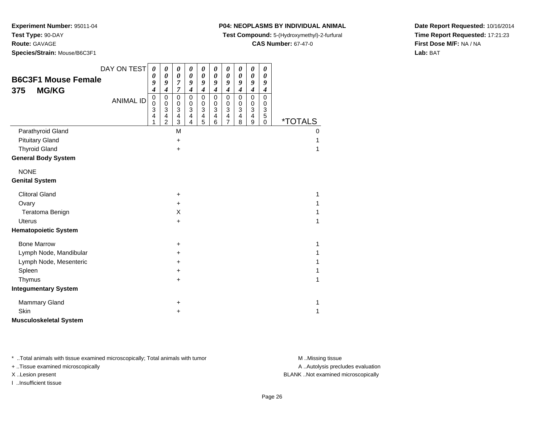**Test Type:** 90-DAY

**Route:** GAVAGE

**Species/Strain:** Mouse/B6C3F1

## **P04: NEOPLASMS BY INDIVIDUAL ANIMAL**

**Test Compound:** 5-(Hydroxymethyl)-2-furfural

**CAS Number:** 67-47-0

**Date Report Requested:** 10/16/2014**Time Report Requested:** 17:21:23**First Dose M/F:** NA / NA**Lab:** BAT

| <b>B6C3F1 Mouse Female</b><br><b>MG/KG</b><br>375 | DAY ON TEST      | $\boldsymbol{\theta}$<br>0<br>9<br>4 | 0<br>$\boldsymbol{\theta}$<br>9<br>$\boldsymbol{4}$                                                | 0<br>$\boldsymbol{\theta}$<br>$\overline{7}$<br>7                   | 0<br>$\boldsymbol{\theta}$<br>9<br>$\boldsymbol{4}$                                                       | 0<br>$\boldsymbol{\theta}$<br>9<br>$\boldsymbol{4}$                          | 0<br>$\pmb{\theta}$<br>9<br>$\boldsymbol{4}$                        | 0<br>$\boldsymbol{\theta}$<br>9<br>$\boldsymbol{4}$ | 0<br>$\boldsymbol{\theta}$<br>9<br>$\boldsymbol{4}$                                   | 0<br>0<br>9<br>$\boldsymbol{4}$                                          | 0<br>$\boldsymbol{\theta}$<br>9<br>4                |                       |
|---------------------------------------------------|------------------|--------------------------------------|----------------------------------------------------------------------------------------------------|---------------------------------------------------------------------|-----------------------------------------------------------------------------------------------------------|------------------------------------------------------------------------------|---------------------------------------------------------------------|-----------------------------------------------------|---------------------------------------------------------------------------------------|--------------------------------------------------------------------------|-----------------------------------------------------|-----------------------|
|                                                   | <b>ANIMAL ID</b> | $\pmb{0}$<br>0<br>3<br>4<br>1        | $\pmb{0}$<br>$\mathbf 0$<br>$\ensuremath{\mathsf{3}}$<br>$\overline{\mathbf{4}}$<br>$\overline{2}$ | 0<br>0<br>$\ensuremath{\mathsf{3}}$<br>$\overline{\mathbf{4}}$<br>3 | $\mathbf 0$<br>$\boldsymbol{0}$<br>$\ensuremath{\mathsf{3}}$<br>$\overline{\mathbf{4}}$<br>$\overline{4}$ | $\mathbf 0$<br>$\pmb{0}$<br>$\ensuremath{\mathsf{3}}$<br>$\overline{4}$<br>5 | 0<br>0<br>$\ensuremath{\mathsf{3}}$<br>$\overline{\mathbf{4}}$<br>6 | $\mathbf 0$<br>0<br>3<br>4<br>$\overline{7}$        | $\mathbf 0$<br>$\pmb{0}$<br>$\ensuremath{\mathsf{3}}$<br>$\overline{\mathbf{4}}$<br>8 | $\mathbf 0$<br>$\pmb{0}$<br>$\mathbf{3}$<br>$\overline{\mathbf{4}}$<br>9 | $\mathbf 0$<br>0<br>$\mathbf{3}$<br>$\sqrt{5}$<br>0 | <i><b>*TOTALS</b></i> |
| Parathyroid Gland                                 |                  |                                      |                                                                                                    | M                                                                   |                                                                                                           |                                                                              |                                                                     |                                                     |                                                                                       |                                                                          |                                                     | 0                     |
| <b>Pituitary Gland</b>                            |                  |                                      |                                                                                                    | $\ddot{}$                                                           |                                                                                                           |                                                                              |                                                                     |                                                     |                                                                                       |                                                                          |                                                     |                       |
| <b>Thyroid Gland</b>                              |                  |                                      |                                                                                                    | $\ddot{}$                                                           |                                                                                                           |                                                                              |                                                                     |                                                     |                                                                                       |                                                                          |                                                     |                       |
| <b>General Body System</b>                        |                  |                                      |                                                                                                    |                                                                     |                                                                                                           |                                                                              |                                                                     |                                                     |                                                                                       |                                                                          |                                                     |                       |
| <b>NONE</b>                                       |                  |                                      |                                                                                                    |                                                                     |                                                                                                           |                                                                              |                                                                     |                                                     |                                                                                       |                                                                          |                                                     |                       |
| <b>Genital System</b>                             |                  |                                      |                                                                                                    |                                                                     |                                                                                                           |                                                                              |                                                                     |                                                     |                                                                                       |                                                                          |                                                     |                       |
| <b>Clitoral Gland</b>                             |                  |                                      |                                                                                                    | $\ddot{}$                                                           |                                                                                                           |                                                                              |                                                                     |                                                     |                                                                                       |                                                                          |                                                     |                       |
| Ovary                                             |                  |                                      |                                                                                                    | $\ddot{}$                                                           |                                                                                                           |                                                                              |                                                                     |                                                     |                                                                                       |                                                                          |                                                     |                       |
| Teratoma Benign                                   |                  |                                      |                                                                                                    | X                                                                   |                                                                                                           |                                                                              |                                                                     |                                                     |                                                                                       |                                                                          |                                                     |                       |
| <b>Uterus</b>                                     |                  |                                      |                                                                                                    | $\ddot{}$                                                           |                                                                                                           |                                                                              |                                                                     |                                                     |                                                                                       |                                                                          |                                                     |                       |
| <b>Hematopoietic System</b>                       |                  |                                      |                                                                                                    |                                                                     |                                                                                                           |                                                                              |                                                                     |                                                     |                                                                                       |                                                                          |                                                     |                       |
| <b>Bone Marrow</b>                                |                  |                                      |                                                                                                    | +                                                                   |                                                                                                           |                                                                              |                                                                     |                                                     |                                                                                       |                                                                          |                                                     |                       |
| Lymph Node, Mandibular                            |                  |                                      |                                                                                                    | +                                                                   |                                                                                                           |                                                                              |                                                                     |                                                     |                                                                                       |                                                                          |                                                     |                       |
| Lymph Node, Mesenteric                            |                  |                                      |                                                                                                    | +                                                                   |                                                                                                           |                                                                              |                                                                     |                                                     |                                                                                       |                                                                          |                                                     |                       |
| Spleen                                            |                  |                                      |                                                                                                    | +                                                                   |                                                                                                           |                                                                              |                                                                     |                                                     |                                                                                       |                                                                          |                                                     |                       |
| Thymus                                            |                  |                                      |                                                                                                    | $\ddot{}$                                                           |                                                                                                           |                                                                              |                                                                     |                                                     |                                                                                       |                                                                          |                                                     |                       |
| <b>Integumentary System</b>                       |                  |                                      |                                                                                                    |                                                                     |                                                                                                           |                                                                              |                                                                     |                                                     |                                                                                       |                                                                          |                                                     |                       |
| Mammary Gland                                     |                  |                                      |                                                                                                    | +                                                                   |                                                                                                           |                                                                              |                                                                     |                                                     |                                                                                       |                                                                          |                                                     |                       |
| Skin                                              |                  |                                      |                                                                                                    | +                                                                   |                                                                                                           |                                                                              |                                                                     |                                                     |                                                                                       |                                                                          |                                                     | 1                     |
| <b>Musculoskeletal System</b>                     |                  |                                      |                                                                                                    |                                                                     |                                                                                                           |                                                                              |                                                                     |                                                     |                                                                                       |                                                                          |                                                     |                       |

\* ..Total animals with tissue examined microscopically; Total animals with tumor **M** . Missing tissue M ..Missing tissue

+ ..Tissue examined microscopically

I ..Insufficient tissue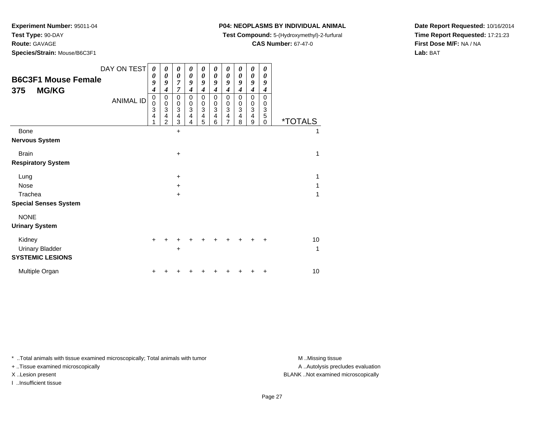**Test Type:** 90-DAY

**Route:** GAVAGE

**Species/Strain:** Mouse/B6C3F1

## **P04: NEOPLASMS BY INDIVIDUAL ANIMAL**

**Test Compound:** 5-(Hydroxymethyl)-2-furfural

**CAS Number:** 67-47-0

**Date Report Requested:** 10/16/2014**Time Report Requested:** 17:21:23**First Dose M/F:** NA / NA**Lab:** BAT

| <b>B6C3F1 Mouse Female</b><br><b>MG/KG</b><br>375 | DAY ON TEST<br><b>ANIMAL ID</b> | 0<br>$\boldsymbol{\theta}$<br>9<br>$\boldsymbol{4}$<br>0 | 0<br>0<br>9<br>4<br>0<br>$\,0\,$                 | 0<br>0<br>7<br>$\overline{7}$<br>0     | 0<br>0<br>9<br>4<br>0<br>0 | 0<br>0<br>9<br>4<br>0                                 | 0<br>0<br>9<br>4<br>$\mathbf 0$<br>0 | 0<br>0<br>9<br>4<br>0<br>0 | 0<br>0<br>9<br>4<br>$\mathbf 0$<br>0 | 0<br>0<br>9<br>$\boldsymbol{4}$<br>$\mathbf 0$<br>$\,0\,$ | 0<br>0<br>9<br>4<br>$\mathbf 0$<br>0 |                       |
|---------------------------------------------------|---------------------------------|----------------------------------------------------------|--------------------------------------------------|----------------------------------------|----------------------------|-------------------------------------------------------|--------------------------------------|----------------------------|--------------------------------------|-----------------------------------------------------------|--------------------------------------|-----------------------|
|                                                   |                                 | $\begin{array}{c} 0 \\ 3 \\ 4 \end{array}$<br>1          | $\ensuremath{\mathsf{3}}$<br>4<br>$\overline{2}$ | $_3^0$<br>$\overline{\mathbf{4}}$<br>3 | 3<br>4<br>4                | $\begin{smallmatrix}0\0\3\end{smallmatrix}$<br>4<br>5 | 3<br>4<br>6                          | 3<br>4<br>$\overline{7}$   | 3<br>4<br>8                          | $\overline{3}$<br>$\overline{\mathbf{4}}$<br>9            | 3<br>5<br>$\Omega$                   | <i><b>*TOTALS</b></i> |
| <b>Bone</b>                                       |                                 |                                                          |                                                  | $\ddot{}$                              |                            |                                                       |                                      |                            |                                      |                                                           |                                      | 1                     |
| <b>Nervous System</b>                             |                                 |                                                          |                                                  |                                        |                            |                                                       |                                      |                            |                                      |                                                           |                                      |                       |
| <b>Brain</b>                                      |                                 |                                                          |                                                  | $\ddot{}$                              |                            |                                                       |                                      |                            |                                      |                                                           |                                      | 1                     |
| <b>Respiratory System</b>                         |                                 |                                                          |                                                  |                                        |                            |                                                       |                                      |                            |                                      |                                                           |                                      |                       |
| Lung                                              |                                 |                                                          |                                                  | $\ddot{}$                              |                            |                                                       |                                      |                            |                                      |                                                           |                                      | 1                     |
| Nose                                              |                                 |                                                          |                                                  | $\ddot{}$                              |                            |                                                       |                                      |                            |                                      |                                                           |                                      | 1                     |
| Trachea                                           |                                 |                                                          |                                                  | $\ddot{}$                              |                            |                                                       |                                      |                            |                                      |                                                           |                                      | 1                     |
| <b>Special Senses System</b>                      |                                 |                                                          |                                                  |                                        |                            |                                                       |                                      |                            |                                      |                                                           |                                      |                       |
| <b>NONE</b>                                       |                                 |                                                          |                                                  |                                        |                            |                                                       |                                      |                            |                                      |                                                           |                                      |                       |
| <b>Urinary System</b>                             |                                 |                                                          |                                                  |                                        |                            |                                                       |                                      |                            |                                      |                                                           |                                      |                       |
| Kidney                                            |                                 | +                                                        |                                                  |                                        |                            |                                                       |                                      |                            |                                      |                                                           |                                      | 10                    |
| <b>Urinary Bladder</b>                            |                                 |                                                          |                                                  | +                                      |                            |                                                       |                                      |                            |                                      |                                                           |                                      | 1                     |
| <b>SYSTEMIC LESIONS</b>                           |                                 |                                                          |                                                  |                                        |                            |                                                       |                                      |                            |                                      |                                                           |                                      |                       |
| Multiple Organ                                    |                                 |                                                          |                                                  |                                        |                            |                                                       |                                      |                            |                                      |                                                           |                                      | 10                    |

\* ..Total animals with tissue examined microscopically; Total animals with tumor **M** . Missing tissue M ..Missing tissue

+ ..Tissue examined microscopically

I ..Insufficient tissue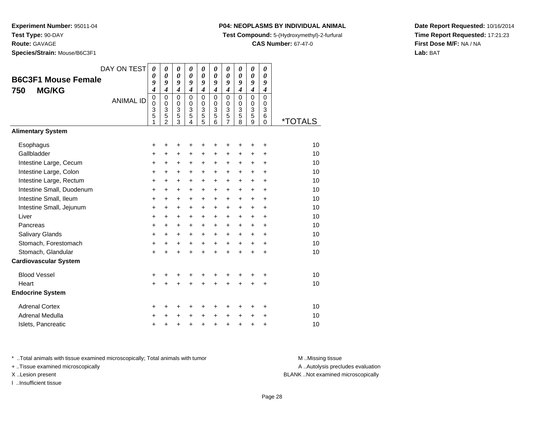**Route:** GAVAGE

**Species/Strain:** Mouse/B6C3F1

### **P04: NEOPLASMS BY INDIVIDUAL ANIMAL**

**Test Compound:** 5-(Hydroxymethyl)-2-furfural

**CAS Number:** 67-47-0

**Date Report Requested:** 10/16/2014**Time Report Requested:** 17:21:23**First Dose M/F:** NA / NA**Lab:** BAT

| <b>B6C3F1 Mouse Female</b><br><b>MG/KG</b><br>750 | DAY ON TEST<br><b>ANIMAL ID</b> | $\boldsymbol{\theta}$<br>$\boldsymbol{\theta}$<br>9<br>4<br>$\pmb{0}$ | 0<br>$\boldsymbol{\theta}$<br>9<br>$\boldsymbol{4}$<br>$\mathbf 0$ | 0<br>$\boldsymbol{\theta}$<br>9<br>$\boldsymbol{4}$<br>$\mathbf 0$ | 0<br>$\boldsymbol{\theta}$<br>9<br>$\boldsymbol{4}$<br>$\mathbf 0$ | 0<br>$\boldsymbol{\theta}$<br>9<br>$\boldsymbol{4}$<br>$\mathbf 0$ | 0<br>$\boldsymbol{\theta}$<br>9<br>$\boldsymbol{4}$<br>$\mathbf 0$ | 0<br>0<br>9<br>$\boldsymbol{4}$<br>$\mathbf 0$ | 0<br>0<br>9<br>4<br>0      | 0<br>0<br>9<br>$\boldsymbol{4}$<br>0 | 0<br>0<br>9<br>$\boldsymbol{4}$<br>$\mathbf 0$ |         |
|---------------------------------------------------|---------------------------------|-----------------------------------------------------------------------|--------------------------------------------------------------------|--------------------------------------------------------------------|--------------------------------------------------------------------|--------------------------------------------------------------------|--------------------------------------------------------------------|------------------------------------------------|----------------------------|--------------------------------------|------------------------------------------------|---------|
|                                                   |                                 | $\mathbf 0$<br>3<br>5<br>1                                            | $\mathbf 0$<br>3<br>$\overline{5}$<br>$\overline{2}$               | $\mathbf 0$<br>$\ensuremath{\mathsf{3}}$<br>$\overline{5}$<br>3    | $\Omega$<br>3<br>5<br>4                                            | $\mathbf 0$<br>3<br>5<br>5                                         | $\Omega$<br>3<br>5<br>6                                            | 0<br>$\frac{3}{5}$<br>$\overline{7}$           | $\mathbf 0$<br>3<br>5<br>8 | $\mathbf 0$<br>3<br>5<br>9           | $\Omega$<br>3<br>6<br>0                        | *TOTALS |
| <b>Alimentary System</b>                          |                                 |                                                                       |                                                                    |                                                                    |                                                                    |                                                                    |                                                                    |                                                |                            |                                      |                                                |         |
| Esophagus                                         |                                 | +                                                                     | +                                                                  | +                                                                  | +                                                                  | +                                                                  | +                                                                  | +                                              | +                          | ٠                                    | +                                              | 10      |
| Gallbladder                                       |                                 | $\ddot{}$                                                             | +                                                                  | +                                                                  | +                                                                  | +                                                                  | +                                                                  | +                                              | +                          | +                                    | +                                              | 10      |
| Intestine Large, Cecum                            |                                 | +                                                                     | +                                                                  | +                                                                  | +                                                                  | +                                                                  | +                                                                  | +                                              | +                          | +                                    | $\ddot{}$                                      | 10      |
| Intestine Large, Colon                            |                                 | $\ddot{}$                                                             | $\ddot{}$                                                          | $\ddot{}$                                                          | $\ddot{}$                                                          | $\ddot{}$                                                          | $\ddot{}$                                                          | $\pm$                                          | $\pm$                      | $\ddot{}$                            | +                                              | 10      |
| Intestine Large, Rectum                           |                                 | $\ddot{}$                                                             | $\ddot{}$                                                          | $\ddot{}$                                                          | $\ddot{}$                                                          | $\ddot{}$                                                          | $\ddot{}$                                                          | $\ddot{}$                                      | $\ddot{}$                  | $\ddot{}$                            | $\ddot{}$                                      | 10      |
| Intestine Small, Duodenum                         |                                 | $\ddot{}$                                                             | +                                                                  | $\ddot{}$                                                          | $\ddot{}$                                                          | $\ddot{}$                                                          | $\ddot{}$                                                          | +                                              | +                          | +                                    | $\ddot{}$                                      | 10      |
| Intestine Small, Ileum                            |                                 | $\ddot{}$                                                             | $\ddot{}$                                                          | $\ddot{}$                                                          | $\ddot{}$                                                          | $\ddot{}$                                                          | $\ddot{}$                                                          | $\ddot{}$                                      | +                          | $\ddot{}$                            | $\ddot{}$                                      | 10      |
| Intestine Small, Jejunum                          |                                 | +                                                                     | $\ddot{}$                                                          | $\ddot{}$                                                          | $\ddot{}$                                                          | $\ddot{}$                                                          | $\ddot{}$                                                          | $\pm$                                          | $\pm$                      | $\pm$                                | +                                              | 10      |
| Liver                                             |                                 | $\ddot{}$                                                             | $\ddot{}$                                                          | $\ddot{}$                                                          | $\ddot{}$                                                          | $\ddot{}$                                                          | $\ddot{}$                                                          | $\ddot{}$                                      | $\ddot{}$                  | $\ddot{}$                            | $\ddot{}$                                      | 10      |
| Pancreas                                          |                                 | $\ddot{}$                                                             | +                                                                  | +                                                                  | $\ddot{}$                                                          | $\ddot{}$                                                          | $\ddot{}$                                                          | +                                              | +                          | $\ddot{}$                            | $\ddot{}$                                      | 10      |
| Salivary Glands                                   |                                 | +                                                                     | $\ddot{}$                                                          | $\ddot{}$                                                          | $\ddot{}$                                                          | $\ddot{}$                                                          | $\ddot{}$                                                          | $\ddot{}$                                      | $\ddot{}$                  | $\ddot{}$                            | +                                              | 10      |
| Stomach, Forestomach                              |                                 | +                                                                     | $\ddot{}$                                                          | $\ddot{}$                                                          | $\ddot{}$                                                          | $\ddot{}$                                                          | $\ddot{}$                                                          | $\ddot{}$                                      | $\ddot{}$                  | $+$                                  | $\ddot{}$                                      | 10      |
| Stomach, Glandular                                |                                 | $\ddot{}$                                                             |                                                                    | $\ddot{}$                                                          | $\ddot{}$                                                          | $\ddot{}$                                                          | $\ddot{}$                                                          | $\ddot{}$                                      | $\ddot{}$                  | $\ddot{}$                            | $\ddot{}$                                      | 10      |
| <b>Cardiovascular System</b>                      |                                 |                                                                       |                                                                    |                                                                    |                                                                    |                                                                    |                                                                    |                                                |                            |                                      |                                                |         |
| <b>Blood Vessel</b>                               |                                 | +                                                                     | +                                                                  | +                                                                  | +                                                                  | +                                                                  | +                                                                  | +                                              | +                          | +                                    | +                                              | 10      |
| Heart                                             |                                 | $\ddot{}$                                                             |                                                                    |                                                                    |                                                                    | $\ddot{}$                                                          | Ŧ.                                                                 | $\ddot{}$                                      |                            |                                      | $\ddot{}$                                      | 10      |
| <b>Endocrine System</b>                           |                                 |                                                                       |                                                                    |                                                                    |                                                                    |                                                                    |                                                                    |                                                |                            |                                      |                                                |         |
| <b>Adrenal Cortex</b>                             |                                 | +                                                                     | ٠                                                                  | +                                                                  | +                                                                  | +                                                                  | ٠                                                                  | +                                              | ٠                          | ٠                                    | ÷                                              | 10      |
| <b>Adrenal Medulla</b>                            |                                 | $\ddot{}$                                                             |                                                                    | +                                                                  | $\ddot{}$                                                          | $\ddot{}$                                                          | $\ddot{}$                                                          | $\ddot{}$                                      | $\ddot{}$                  | $\ddot{}$                            | +                                              | 10      |
| Islets, Pancreatic                                |                                 | +                                                                     |                                                                    | +                                                                  | +                                                                  | $\ddot{}$                                                          | $\ddot{}$                                                          | $\ddot{}$                                      | +                          | +                                    | +                                              | 10      |

\* ..Total animals with tissue examined microscopically; Total animals with tumor **M** . Missing tissue M ..Missing tissue

+ ..Tissue examined microscopically

I ..Insufficient tissue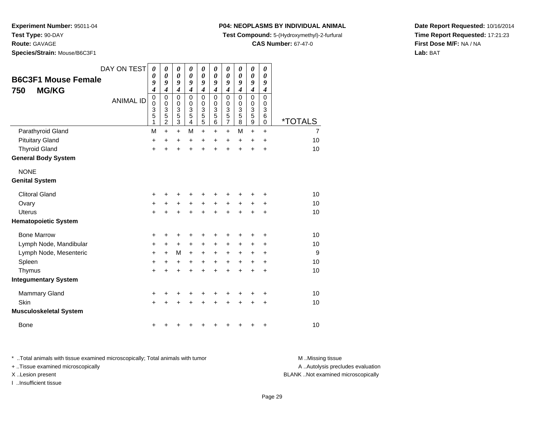**Route:** GAVAGE

**Species/Strain:** Mouse/B6C3F1

### **P04: NEOPLASMS BY INDIVIDUAL ANIMAL**

**Test Compound:** 5-(Hydroxymethyl)-2-furfural

**CAS Number:** 67-47-0

**Date Report Requested:** 10/16/2014**Time Report Requested:** 17:21:23**First Dose M/F:** NA / NA**Lab:** BAT

|                               | DAY ON TEST      | 0                        | 0                   | 0<br>$\boldsymbol{\theta}$  | 0<br>0              | 0<br>$\boldsymbol{\theta}$ | 0<br>0            | 0<br>$\boldsymbol{\theta}$ | 0<br>0           | $\pmb{\theta}$      | 0<br>0           |                |
|-------------------------------|------------------|--------------------------|---------------------|-----------------------------|---------------------|----------------------------|-------------------|----------------------------|------------------|---------------------|------------------|----------------|
| <b>B6C3F1 Mouse Female</b>    |                  | 0<br>9                   | 0<br>9              | 9                           | 9                   | 9                          | 9                 | 9                          | 9                | 0<br>9              | 9                |                |
| <b>MG/KG</b><br>750           |                  | 4                        | 4                   | 4                           | 4                   | $\boldsymbol{4}$           | 4                 | $\boldsymbol{4}$           | $\boldsymbol{4}$ | $\boldsymbol{4}$    | $\boldsymbol{4}$ |                |
|                               | <b>ANIMAL ID</b> | $\pmb{0}$<br>$\mathbf 0$ | $\mathbf 0$<br>0    | $\mathbf 0$<br>0            | $\overline{0}$<br>0 | $\mathbf 0$<br>0           | $\mathbf{0}$<br>0 | $\mathbf 0$                | $\mathbf 0$<br>0 | $\mathbf 0$<br>0    | 0<br>0           |                |
|                               |                  | 3                        | 3                   | $\ensuremath{\mathsf{3}}$   | 3                   | $\overline{3}$             | 3                 |                            | 3                | $\overline{3}$      | 3                |                |
|                               |                  | 5<br>1                   | 5<br>$\overline{2}$ | $\mathbf 5$<br>$\mathbf{3}$ | 5<br>$\overline{4}$ | $\frac{5}{5}$              | 5<br>6            | $0$<br>$3$<br>$5$<br>$7$   | 5<br>8           | $\overline{5}$<br>9 | 6<br>0           | *TOTALS        |
| Parathyroid Gland             |                  | M                        | $\ddot{}$           | $\ddot{}$                   | M                   | $\ddot{}$                  | $\ddot{}$         | $\ddot{}$                  | M                | $+$                 | $\ddot{}$        | $\overline{7}$ |
| <b>Pituitary Gland</b>        |                  | +                        | +                   | +                           | +                   | +                          | +                 | +                          | +                | +                   | +                | 10             |
| <b>Thyroid Gland</b>          |                  | $\ddot{}$                | Ŧ.                  | $\ddot{}$                   | $\ddot{}$           | $\ddot{}$                  | $\ddot{}$         | $\ddot{}$                  | $\ddot{}$        | $\ddot{}$           | $\ddot{}$        | 10             |
| <b>General Body System</b>    |                  |                          |                     |                             |                     |                            |                   |                            |                  |                     |                  |                |
| <b>NONE</b>                   |                  |                          |                     |                             |                     |                            |                   |                            |                  |                     |                  |                |
| <b>Genital System</b>         |                  |                          |                     |                             |                     |                            |                   |                            |                  |                     |                  |                |
| <b>Clitoral Gland</b>         |                  | +                        |                     | ٠                           | ٠                   | +                          |                   |                            |                  |                     | ٠                | 10             |
| Ovary                         |                  | +                        | +                   | +                           | +                   | +                          | $\ddot{}$         | $\ddot{}$                  | +                | +                   | ٠                | 10             |
| <b>Uterus</b>                 |                  | $\ddot{}$                | +                   | +                           | $\ddot{}$           | $\ddot{}$                  | $\ddot{}$         | $\ddot{}$                  | $\div$           | +                   | +                | 10             |
| <b>Hematopoietic System</b>   |                  |                          |                     |                             |                     |                            |                   |                            |                  |                     |                  |                |
| <b>Bone Marrow</b>            |                  | +                        | +                   | +                           | +                   | +                          | +                 | +                          | +                | +                   | +                | 10             |
| Lymph Node, Mandibular        |                  | $\ddot{}$                | +                   | $\ddot{}$                   | $\ddot{}$           | $\ddot{}$                  | $\ddot{}$         | $\ddot{}$                  | $\pm$            | $\pm$               | +                | 10             |
| Lymph Node, Mesenteric        |                  | $\ddot{}$                | $\ddot{}$           | M                           | +                   | +                          | +                 | +                          | $\pm$            | +                   | +                | 9              |
| Spleen                        |                  | $\ddot{}$                | +                   | +                           | +                   | +                          | +                 | +                          | +                | $\ddot{}$           | +                | 10             |
| Thymus                        |                  | $\ddot{}$                | +                   | $\ddot{}$                   | $\ddot{}$           | $\ddot{}$                  | $\ddot{}$         | $\ddot{}$                  | $\ddot{}$        | $\ddot{}$           | $\ddot{}$        | 10             |
| <b>Integumentary System</b>   |                  |                          |                     |                             |                     |                            |                   |                            |                  |                     |                  |                |
| Mammary Gland                 |                  | $\ddot{}$                | +                   | +                           | +                   | +                          | +                 | +                          | +                | +                   | +                | 10             |
| Skin                          |                  | $\ddot{}$                |                     | +                           |                     | $\ddot{}$                  |                   | +                          |                  | +                   | $\ddot{}$        | 10             |
| <b>Musculoskeletal System</b> |                  |                          |                     |                             |                     |                            |                   |                            |                  |                     |                  |                |
| <b>Bone</b>                   |                  | +                        |                     |                             | ٠                   | +                          |                   |                            |                  | +                   | +                | 10             |

\* ..Total animals with tissue examined microscopically; Total animals with tumor **M** . Missing tissue M ..Missing tissue + ..Tissue examined microscopically X ..Lesion present BLANK ..Not examined microscopically

I ..Insufficient tissue

A ..Autolysis precludes evaluation